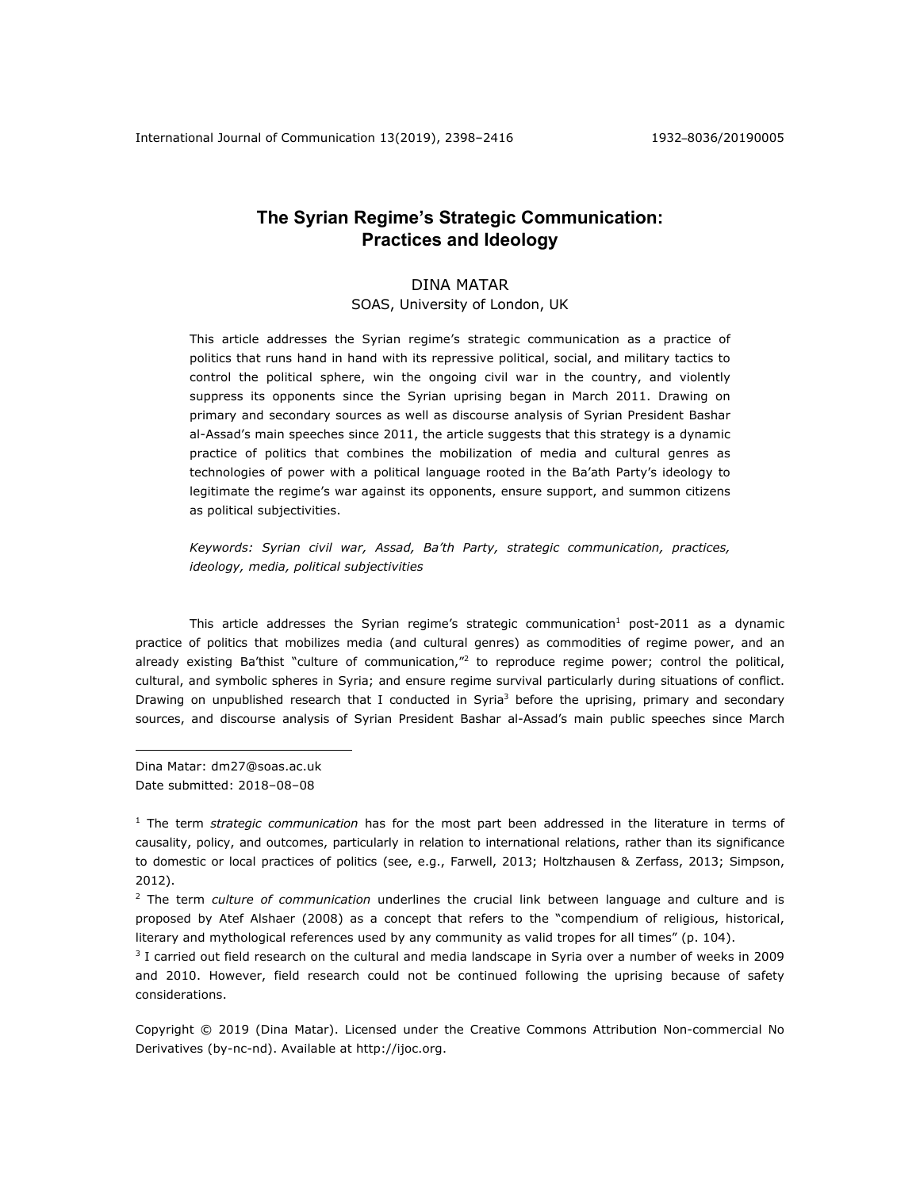# **The Syrian Regime's Strategic Communication: Practices and Ideology**

# DINA MATAR

SOAS, University of London, UK

This article addresses the Syrian regime's strategic communication as a practice of politics that runs hand in hand with its repressive political, social, and military tactics to control the political sphere, win the ongoing civil war in the country, and violently suppress its opponents since the Syrian uprising began in March 2011. Drawing on primary and secondary sources as well as discourse analysis of Syrian President Bashar al-Assad's main speeches since 2011, the article suggests that this strategy is a dynamic practice of politics that combines the mobilization of media and cultural genres as technologies of power with a political language rooted in the Ba'ath Party's ideology to legitimate the regime's war against its opponents, ensure support, and summon citizens as political subjectivities.

*Keywords: Syrian civil war, Assad, Ba'th Party, strategic communication, practices, ideology, media, political subjectivities*

This article addresses the Syrian regime's strategic communication<sup>1</sup> post-2011 as a dynamic practice of politics that mobilizes media (and cultural genres) as commodities of regime power, and an already existing Ba'thist "culture of communication,"<sup>2</sup> to reproduce regime power; control the political, cultural, and symbolic spheres in Syria; and ensure regime survival particularly during situations of conflict. Drawing on unpublished research that I conducted in Syria<sup>3</sup> before the uprising, primary and secondary sources, and discourse analysis of Syrian President Bashar al-Assad's main public speeches since March

Dina Matar: dm27@soas.ac.uk Date submitted: 2018–08–08

<u>.</u>

Copyright © 2019 (Dina Matar). Licensed under the Creative Commons Attribution Non-commercial No Derivatives (by-nc-nd). Available at http://ijoc.org.

<sup>1</sup> The term *strategic communication* has for the most part been addressed in the literature in terms of causality, policy, and outcomes, particularly in relation to international relations, rather than its significance to domestic or local practices of politics (see, e.g., Farwell, 2013; Holtzhausen & Zerfass, 2013; Simpson, 2012).

<sup>2</sup> The term *culture of communication* underlines the crucial link between language and culture and is proposed by Atef Alshaer (2008) as a concept that refers to the "compendium of religious, historical, literary and mythological references used by any community as valid tropes for all times" (p. 104).

 $3$  I carried out field research on the cultural and media landscape in Syria over a number of weeks in 2009 and 2010. However, field research could not be continued following the uprising because of safety considerations.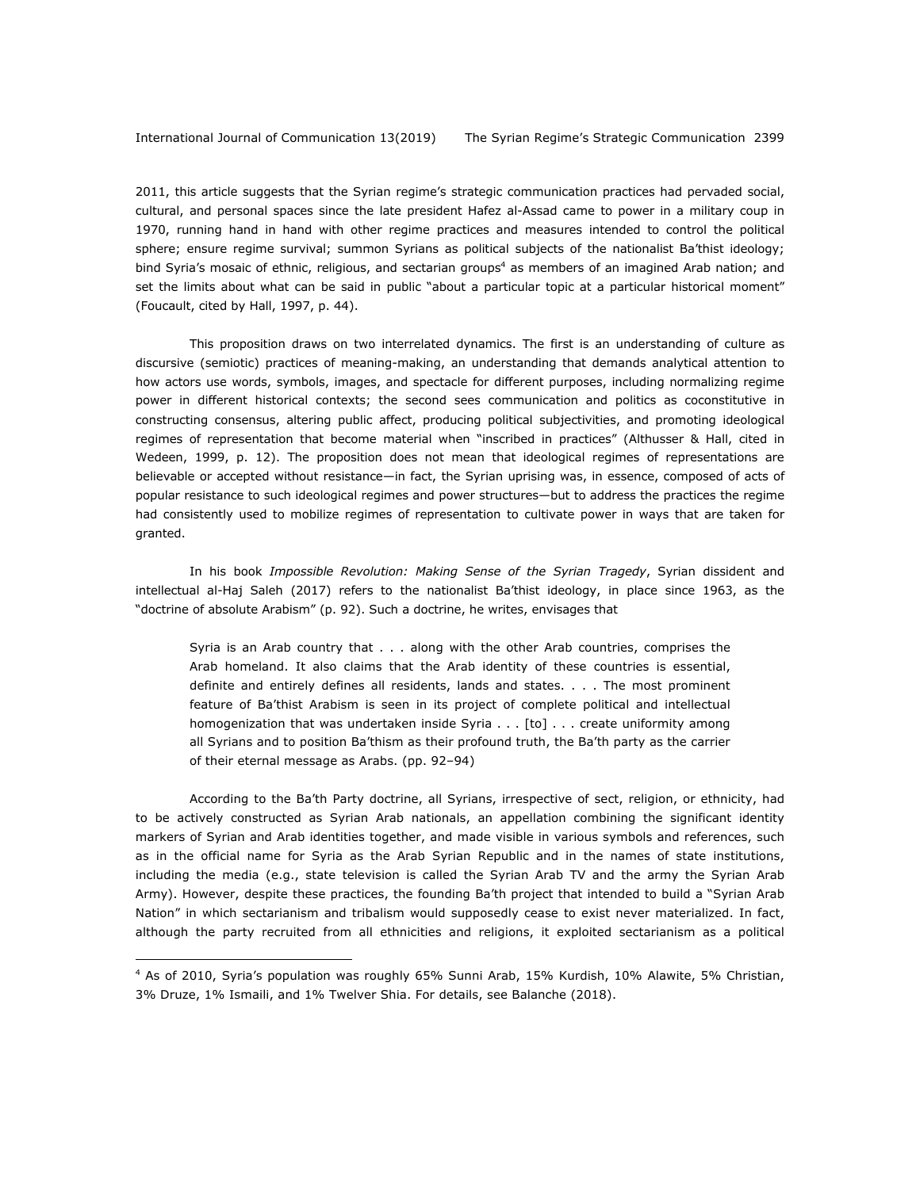1

2011, this article suggests that the Syrian regime's strategic communication practices had pervaded social, cultural, and personal spaces since the late president Hafez al-Assad came to power in a military coup in 1970, running hand in hand with other regime practices and measures intended to control the political sphere; ensure regime survival; summon Syrians as political subjects of the nationalist Ba'thist ideology; bind Syria's mosaic of ethnic, religious, and sectarian groups<sup>4</sup> as members of an imagined Arab nation; and set the limits about what can be said in public "about a particular topic at a particular historical moment" (Foucault, cited by Hall, 1997, p. 44).

This proposition draws on two interrelated dynamics. The first is an understanding of culture as discursive (semiotic) practices of meaning-making, an understanding that demands analytical attention to how actors use words, symbols, images, and spectacle for different purposes, including normalizing regime power in different historical contexts; the second sees communication and politics as coconstitutive in constructing consensus, altering public affect, producing political subjectivities, and promoting ideological regimes of representation that become material when "inscribed in practices" (Althusser & Hall, cited in Wedeen, 1999, p. 12). The proposition does not mean that ideological regimes of representations are believable or accepted without resistance—in fact, the Syrian uprising was, in essence, composed of acts of popular resistance to such ideological regimes and power structures—but to address the practices the regime had consistently used to mobilize regimes of representation to cultivate power in ways that are taken for granted.

In his book *Impossible Revolution: Making Sense of the Syrian Tragedy*, Syrian dissident and intellectual al-Haj Saleh (2017) refers to the nationalist Ba'thist ideology, in place since 1963, as the "doctrine of absolute Arabism" (p. 92). Such a doctrine, he writes, envisages that

Syria is an Arab country that . . . along with the other Arab countries, comprises the Arab homeland. It also claims that the Arab identity of these countries is essential, definite and entirely defines all residents, lands and states. . . . The most prominent feature of Ba'thist Arabism is seen in its project of complete political and intellectual homogenization that was undertaken inside Syria . . . [to] . . . create uniformity among all Syrians and to position Ba'thism as their profound truth, the Ba'th party as the carrier of their eternal message as Arabs. (pp. 92–94)

According to the Ba'th Party doctrine, all Syrians, irrespective of sect, religion, or ethnicity, had to be actively constructed as Syrian Arab nationals, an appellation combining the significant identity markers of Syrian and Arab identities together, and made visible in various symbols and references, such as in the official name for Syria as the Arab Syrian Republic and in the names of state institutions, including the media (e.g., state television is called the Syrian Arab TV and the army the Syrian Arab Army). However, despite these practices, the founding Ba'th project that intended to build a "Syrian Arab Nation" in which sectarianism and tribalism would supposedly cease to exist never materialized. In fact, although the party recruited from all ethnicities and religions, it exploited sectarianism as a political

<sup>4</sup> As of 2010, Syria's population was roughly 65% Sunni Arab, 15% Kurdish, 10% Alawite, 5% Christian, 3% Druze, 1% Ismaili, and 1% Twelver Shia. For details, see Balanche (2018).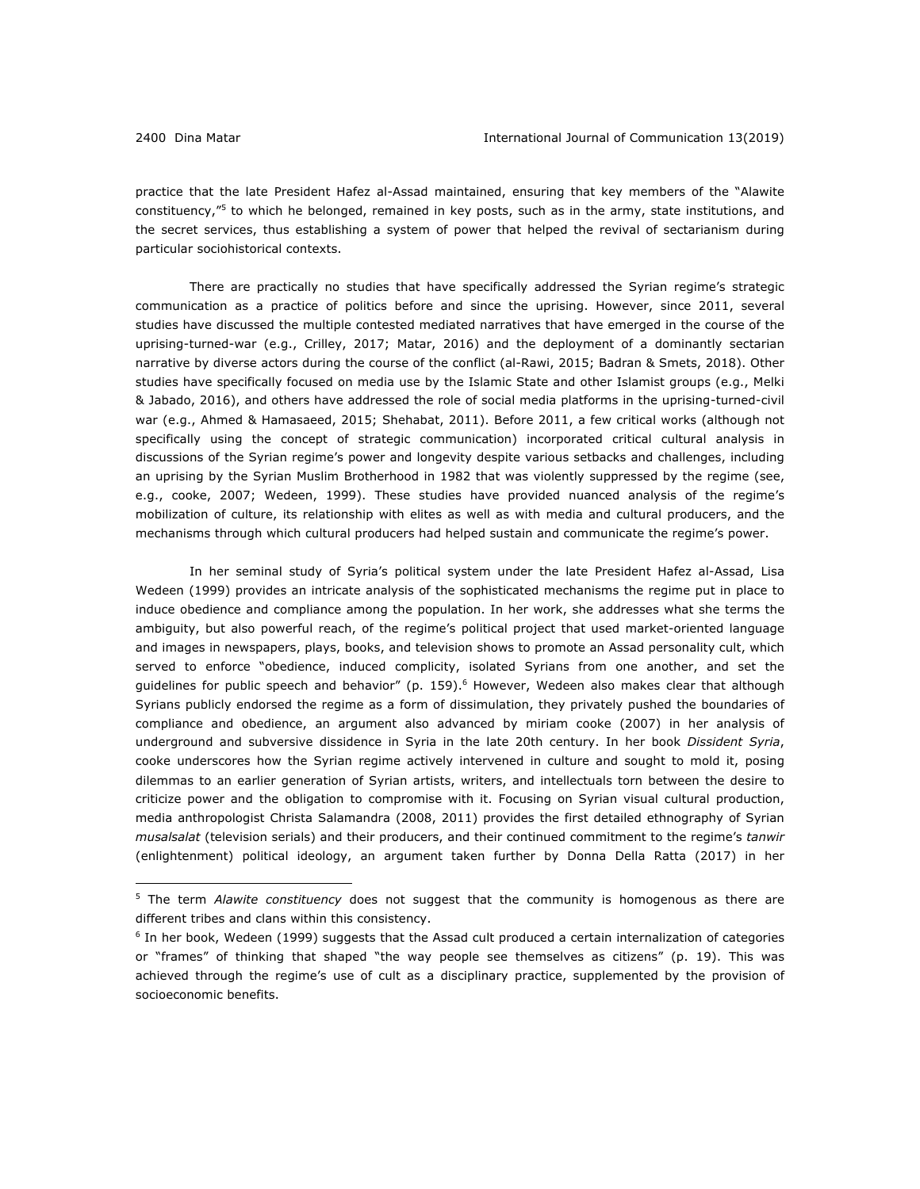<u>.</u>

practice that the late President Hafez al-Assad maintained, ensuring that key members of the "Alawite constituency,<sup>"5</sup> to which he belonged, remained in key posts, such as in the army, state institutions, and the secret services, thus establishing a system of power that helped the revival of sectarianism during particular sociohistorical contexts.

There are practically no studies that have specifically addressed the Syrian regime's strategic communication as a practice of politics before and since the uprising. However, since 2011, several studies have discussed the multiple contested mediated narratives that have emerged in the course of the uprising-turned-war (e.g., Crilley, 2017; Matar, 2016) and the deployment of a dominantly sectarian narrative by diverse actors during the course of the conflict (al-Rawi, 2015; Badran & Smets, 2018). Other studies have specifically focused on media use by the Islamic State and other Islamist groups (e.g., Melki & Jabado, 2016), and others have addressed the role of social media platforms in the uprising-turned-civil war (e.g., Ahmed & Hamasaeed, 2015; Shehabat, 2011). Before 2011, a few critical works (although not specifically using the concept of strategic communication) incorporated critical cultural analysis in discussions of the Syrian regime's power and longevity despite various setbacks and challenges, including an uprising by the Syrian Muslim Brotherhood in 1982 that was violently suppressed by the regime (see, e.g., cooke, 2007; Wedeen, 1999). These studies have provided nuanced analysis of the regime's mobilization of culture, its relationship with elites as well as with media and cultural producers, and the mechanisms through which cultural producers had helped sustain and communicate the regime's power.

In her seminal study of Syria's political system under the late President Hafez al-Assad, Lisa Wedeen (1999) provides an intricate analysis of the sophisticated mechanisms the regime put in place to induce obedience and compliance among the population. In her work, she addresses what she terms the ambiguity, but also powerful reach, of the regime's political project that used market-oriented language and images in newspapers, plays, books, and television shows to promote an Assad personality cult, which served to enforce "obedience, induced complicity, isolated Syrians from one another, and set the guidelines for public speech and behavior" (p. 159).<sup>6</sup> However, Wedeen also makes clear that although Syrians publicly endorsed the regime as a form of dissimulation, they privately pushed the boundaries of compliance and obedience, an argument also advanced by miriam cooke (2007) in her analysis of underground and subversive dissidence in Syria in the late 20th century. In her book *Dissident Syria*, cooke underscores how the Syrian regime actively intervened in culture and sought to mold it, posing dilemmas to an earlier generation of Syrian artists, writers, and intellectuals torn between the desire to criticize power and the obligation to compromise with it. Focusing on Syrian visual cultural production, media anthropologist Christa Salamandra (2008, 2011) provides the first detailed ethnography of Syrian *musalsalat* (television serials) and their producers, and their continued commitment to the regime's *tanwir*  (enlightenment) political ideology, an argument taken further by Donna Della Ratta (2017) in her

<sup>5</sup> The term *Alawite constituency* does not suggest that the community is homogenous as there are different tribes and clans within this consistency.

 $6$  In her book, Wedeen (1999) suggests that the Assad cult produced a certain internalization of categories or "frames" of thinking that shaped "the way people see themselves as citizens" (p. 19). This was achieved through the regime's use of cult as a disciplinary practice, supplemented by the provision of socioeconomic benefits.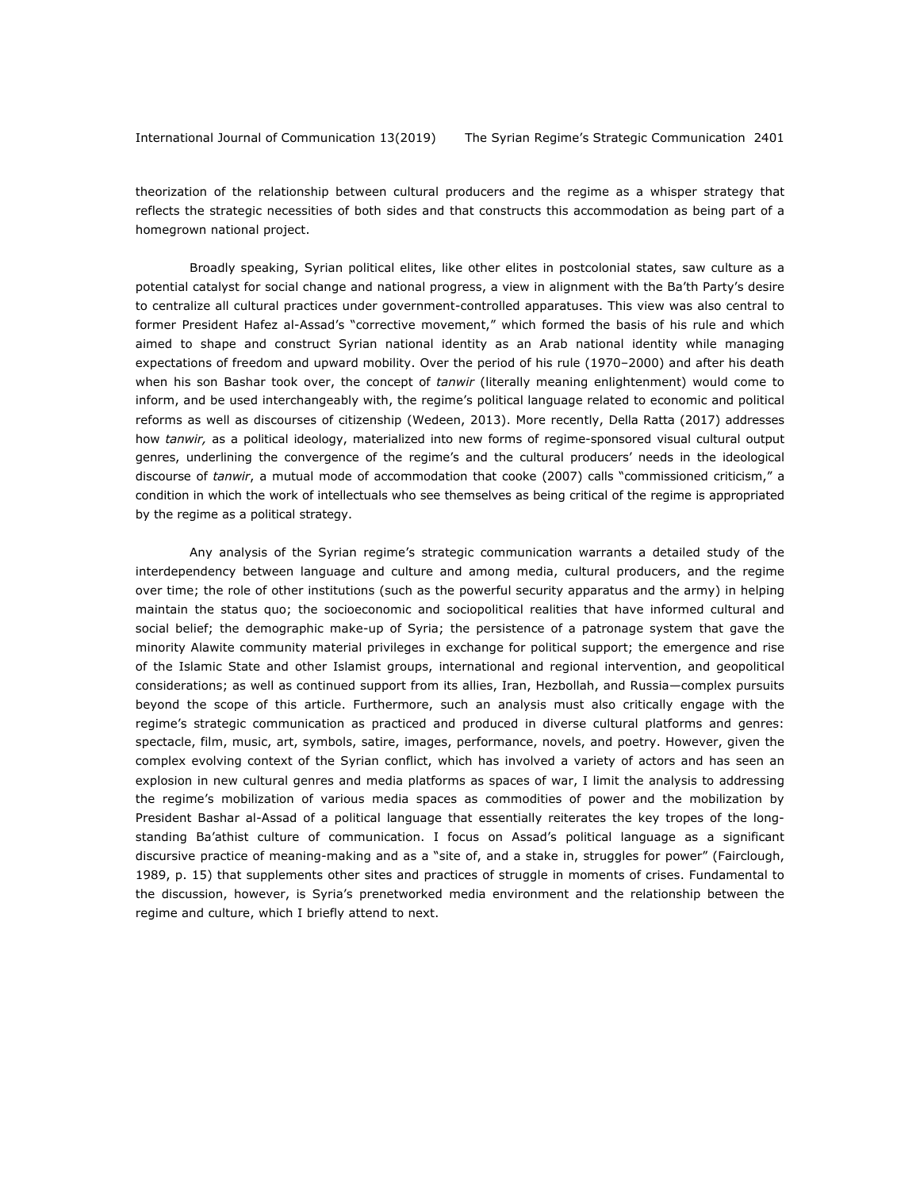theorization of the relationship between cultural producers and the regime as a whisper strategy that reflects the strategic necessities of both sides and that constructs this accommodation as being part of a homegrown national project.

Broadly speaking, Syrian political elites, like other elites in postcolonial states, saw culture as a potential catalyst for social change and national progress, a view in alignment with the Ba'th Party's desire to centralize all cultural practices under government-controlled apparatuses. This view was also central to former President Hafez al-Assad's "corrective movement," which formed the basis of his rule and which aimed to shape and construct Syrian national identity as an Arab national identity while managing expectations of freedom and upward mobility. Over the period of his rule (1970–2000) and after his death when his son Bashar took over, the concept of *tanwir* (literally meaning enlightenment) would come to inform, and be used interchangeably with, the regime's political language related to economic and political reforms as well as discourses of citizenship (Wedeen, 2013). More recently, Della Ratta (2017) addresses how *tanwir,* as a political ideology, materialized into new forms of regime-sponsored visual cultural output genres, underlining the convergence of the regime's and the cultural producers' needs in the ideological discourse of *tanwir*, a mutual mode of accommodation that cooke (2007) calls "commissioned criticism," a condition in which the work of intellectuals who see themselves as being critical of the regime is appropriated by the regime as a political strategy.

Any analysis of the Syrian regime's strategic communication warrants a detailed study of the interdependency between language and culture and among media, cultural producers, and the regime over time; the role of other institutions (such as the powerful security apparatus and the army) in helping maintain the status quo; the socioeconomic and sociopolitical realities that have informed cultural and social belief; the demographic make-up of Syria; the persistence of a patronage system that gave the minority Alawite community material privileges in exchange for political support; the emergence and rise of the Islamic State and other Islamist groups, international and regional intervention, and geopolitical considerations; as well as continued support from its allies, Iran, Hezbollah, and Russia—complex pursuits beyond the scope of this article. Furthermore, such an analysis must also critically engage with the regime's strategic communication as practiced and produced in diverse cultural platforms and genres: spectacle, film, music, art, symbols, satire, images, performance, novels, and poetry. However, given the complex evolving context of the Syrian conflict, which has involved a variety of actors and has seen an explosion in new cultural genres and media platforms as spaces of war, I limit the analysis to addressing the regime's mobilization of various media spaces as commodities of power and the mobilization by President Bashar al-Assad of a political language that essentially reiterates the key tropes of the longstanding Ba'athist culture of communication. I focus on Assad's political language as a significant discursive practice of meaning-making and as a "site of, and a stake in, struggles for power" (Fairclough, 1989, p. 15) that supplements other sites and practices of struggle in moments of crises. Fundamental to the discussion, however, is Syria's prenetworked media environment and the relationship between the regime and culture, which I briefly attend to next.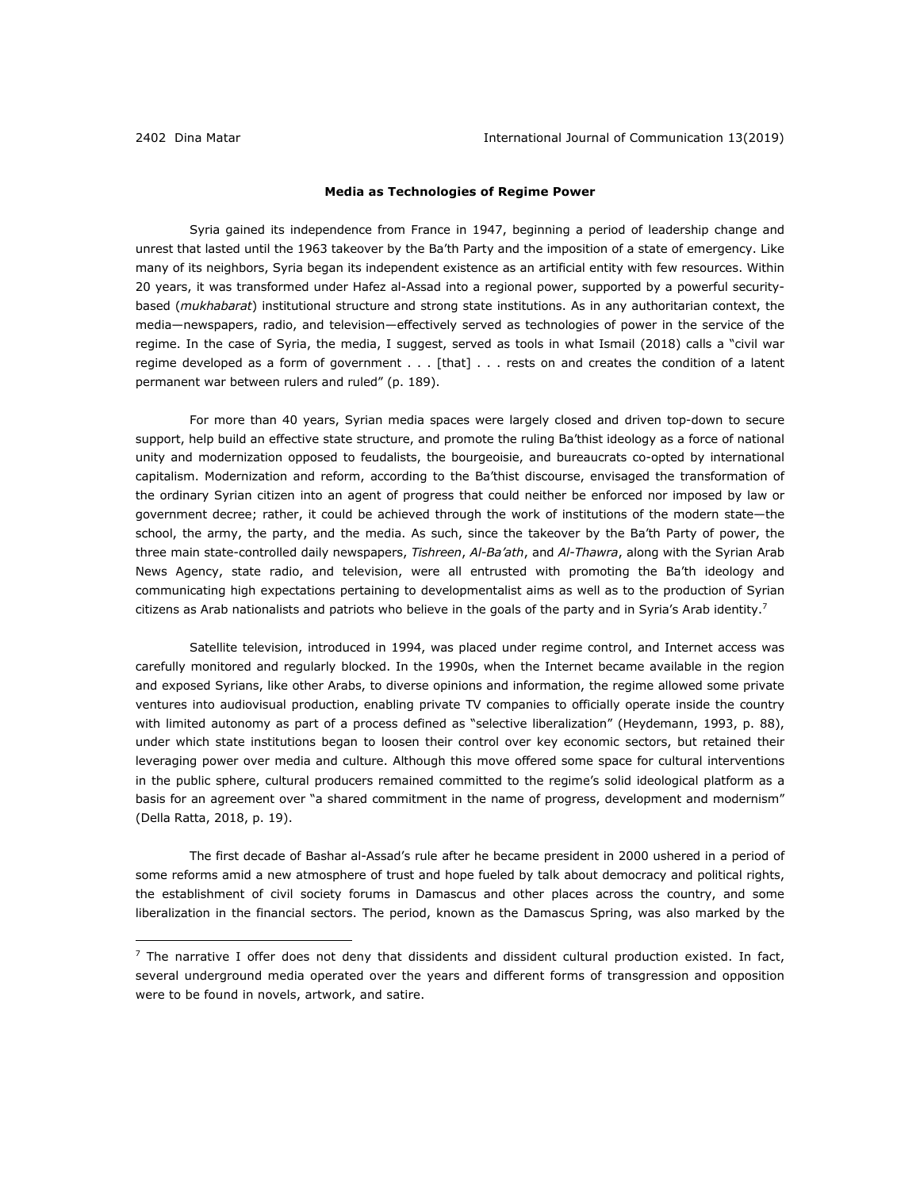<u>.</u>

### **Media as Technologies of Regime Power**

Syria gained its independence from France in 1947, beginning a period of leadership change and unrest that lasted until the 1963 takeover by the Ba'th Party and the imposition of a state of emergency. Like many of its neighbors, Syria began its independent existence as an artificial entity with few resources. Within 20 years, it was transformed under Hafez al-Assad into a regional power, supported by a powerful securitybased (*mukhabarat*) institutional structure and strong state institutions. As in any authoritarian context, the media—newspapers, radio, and television—effectively served as technologies of power in the service of the regime. In the case of Syria, the media, I suggest, served as tools in what Ismail (2018) calls a "civil war regime developed as a form of government . . . [that] . . . rests on and creates the condition of a latent permanent war between rulers and ruled" (p. 189).

For more than 40 years, Syrian media spaces were largely closed and driven top-down to secure support, help build an effective state structure, and promote the ruling Ba'thist ideology as a force of national unity and modernization opposed to feudalists, the bourgeoisie, and bureaucrats co-opted by international capitalism. Modernization and reform, according to the Ba'thist discourse, envisaged the transformation of the ordinary Syrian citizen into an agent of progress that could neither be enforced nor imposed by law or government decree; rather, it could be achieved through the work of institutions of the modern state—the school, the army, the party, and the media. As such, since the takeover by the Ba'th Party of power, the three main state-controlled daily newspapers, *Tishreen*, *Al-Ba'ath*, and *Al-Thawra*, along with the Syrian Arab News Agency, state radio, and television, were all entrusted with promoting the Ba'th ideology and communicating high expectations pertaining to developmentalist aims as well as to the production of Syrian citizens as Arab nationalists and patriots who believe in the goals of the party and in Syria's Arab identity.<sup>7</sup>

Satellite television, introduced in 1994, was placed under regime control, and Internet access was carefully monitored and regularly blocked. In the 1990s, when the Internet became available in the region and exposed Syrians, like other Arabs, to diverse opinions and information, the regime allowed some private ventures into audiovisual production, enabling private TV companies to officially operate inside the country with limited autonomy as part of a process defined as "selective liberalization" (Heydemann, 1993, p. 88), under which state institutions began to loosen their control over key economic sectors, but retained their leveraging power over media and culture. Although this move offered some space for cultural interventions in the public sphere, cultural producers remained committed to the regime's solid ideological platform as a basis for an agreement over "a shared commitment in the name of progress, development and modernism" (Della Ratta, 2018, p. 19).

The first decade of Bashar al-Assad's rule after he became president in 2000 ushered in a period of some reforms amid a new atmosphere of trust and hope fueled by talk about democracy and political rights, the establishment of civil society forums in Damascus and other places across the country, and some liberalization in the financial sectors. The period, known as the Damascus Spring, was also marked by the

 $<sup>7</sup>$  The narrative I offer does not deny that dissidents and dissident cultural production existed. In fact,</sup> several underground media operated over the years and different forms of transgression and opposition were to be found in novels, artwork, and satire.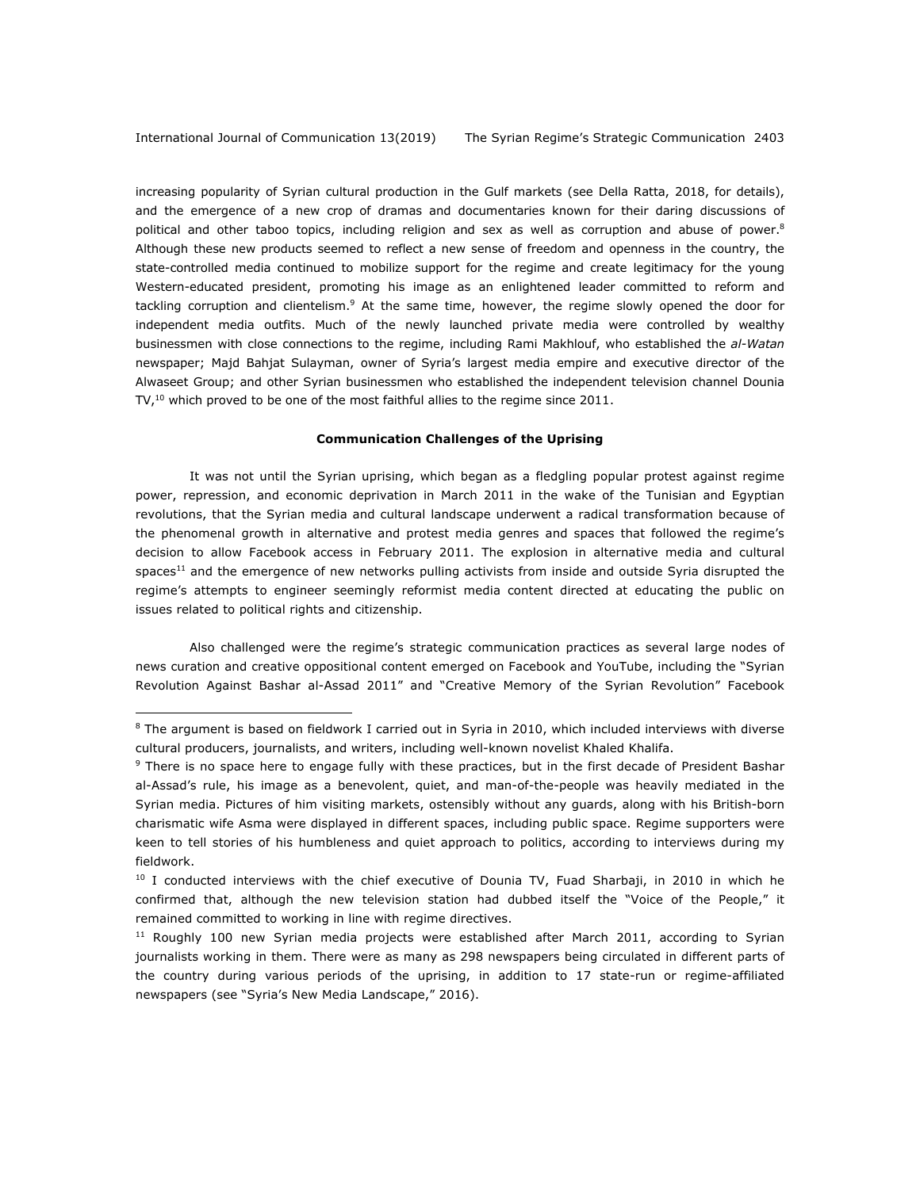increasing popularity of Syrian cultural production in the Gulf markets (see Della Ratta, 2018, for details), and the emergence of a new crop of dramas and documentaries known for their daring discussions of political and other taboo topics, including religion and sex as well as corruption and abuse of power.<sup>8</sup> Although these new products seemed to reflect a new sense of freedom and openness in the country, the state-controlled media continued to mobilize support for the regime and create legitimacy for the young Western-educated president, promoting his image as an enlightened leader committed to reform and tackling corruption and clientelism.<sup>9</sup> At the same time, however, the regime slowly opened the door for independent media outfits. Much of the newly launched private media were controlled by wealthy businessmen with close connections to the regime, including Rami Makhlouf, who established the *al-Watan*  newspaper; Majd Bahjat Sulayman, owner of Syria's largest media empire and executive director of the Alwaseet Group; and other Syrian businessmen who established the independent television channel Dounia  $TV<sub>t</sub><sup>10</sup>$  which proved to be one of the most faithful allies to the regime since 2011.

#### **Communication Challenges of the Uprising**

It was not until the Syrian uprising, which began as a fledgling popular protest against regime power, repression, and economic deprivation in March 2011 in the wake of the Tunisian and Egyptian revolutions, that the Syrian media and cultural landscape underwent a radical transformation because of the phenomenal growth in alternative and protest media genres and spaces that followed the regime's decision to allow Facebook access in February 2011. The explosion in alternative media and cultural spaces<sup>11</sup> and the emergence of new networks pulling activists from inside and outside Syria disrupted the regime's attempts to engineer seemingly reformist media content directed at educating the public on issues related to political rights and citizenship.

Also challenged were the regime's strategic communication practices as several large nodes of news curation and creative oppositional content emerged on Facebook and YouTube, including the "Syrian Revolution Against Bashar al-Assad 2011" and "Creative Memory of the Syrian Revolution" Facebook

<sup>&</sup>lt;sup>8</sup> The argument is based on fieldwork I carried out in Syria in 2010, which included interviews with diverse cultural producers, journalists, and writers, including well-known novelist Khaled Khalifa.

<sup>&</sup>lt;sup>9</sup> There is no space here to engage fully with these practices, but in the first decade of President Bashar al-Assad's rule, his image as a benevolent, quiet, and man-of-the-people was heavily mediated in the Syrian media. Pictures of him visiting markets, ostensibly without any guards, along with his British-born charismatic wife Asma were displayed in different spaces, including public space. Regime supporters were keen to tell stories of his humbleness and quiet approach to politics, according to interviews during my fieldwork.

 $10$  I conducted interviews with the chief executive of Dounia TV, Fuad Sharbaji, in 2010 in which he confirmed that, although the new television station had dubbed itself the "Voice of the People," it remained committed to working in line with regime directives.

 $11$  Roughly 100 new Syrian media projects were established after March 2011, according to Syrian journalists working in them. There were as many as 298 newspapers being circulated in different parts of the country during various periods of the uprising, in addition to 17 state-run or regime-affiliated newspapers (see "Syria's New Media Landscape," 2016).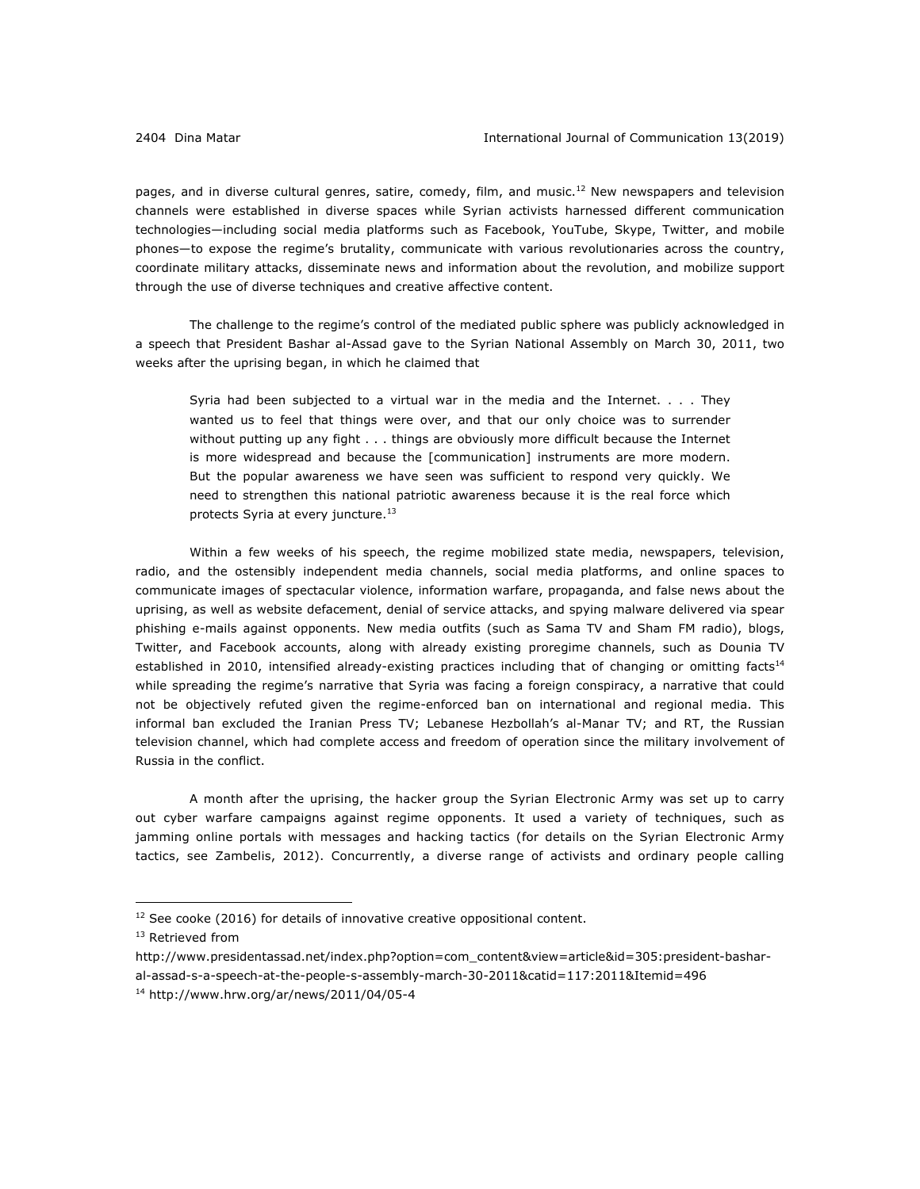pages, and in diverse cultural genres, satire, comedy, film, and music.<sup>12</sup> New newspapers and television channels were established in diverse spaces while Syrian activists harnessed different communication technologies—including social media platforms such as Facebook, YouTube, Skype, Twitter, and mobile phones—to expose the regime's brutality, communicate with various revolutionaries across the country, coordinate military attacks, disseminate news and information about the revolution, and mobilize support through the use of diverse techniques and creative affective content.

The challenge to the regime's control of the mediated public sphere was publicly acknowledged in a speech that President Bashar al-Assad gave to the Syrian National Assembly on March 30, 2011, two weeks after the uprising began, in which he claimed that

Syria had been subjected to a virtual war in the media and the Internet. . . . They wanted us to feel that things were over, and that our only choice was to surrender without putting up any fight . . . things are obviously more difficult because the Internet is more widespread and because the [communication] instruments are more modern. But the popular awareness we have seen was sufficient to respond very quickly. We need to strengthen this national patriotic awareness because it is the real force which protects Syria at every juncture.<sup>13</sup>

Within a few weeks of his speech, the regime mobilized state media, newspapers, television, radio, and the ostensibly independent media channels, social media platforms, and online spaces to communicate images of spectacular violence, information warfare, propaganda, and false news about the uprising, as well as website defacement, denial of service attacks, and spying malware delivered via spear phishing e-mails against opponents. New media outfits (such as Sama TV and Sham FM radio), blogs, Twitter, and Facebook accounts, along with already existing proregime channels, such as Dounia TV established in 2010, intensified already-existing practices including that of changing or omitting facts<sup>14</sup> while spreading the regime's narrative that Syria was facing a foreign conspiracy, a narrative that could not be objectively refuted given the regime-enforced ban on international and regional media. This informal ban excluded the Iranian Press TV; Lebanese Hezbollah's al-Manar TV; and RT, the Russian television channel, which had complete access and freedom of operation since the military involvement of Russia in the conflict.

A month after the uprising, the hacker group the Syrian Electronic Army was set up to carry out cyber warfare campaigns against regime opponents. It used a variety of techniques, such as jamming online portals with messages and hacking tactics (for details on the Syrian Electronic Army tactics, see Zambelis, 2012). Concurrently, a diverse range of activists and ordinary people calling

 $12$  See cooke (2016) for details of innovative creative oppositional content.

<sup>&</sup>lt;sup>13</sup> Retrieved from

http://www.presidentassad.net/index.php?option=com\_content&view=article&id=305:president-basharal-assad-s-a-speech-at-the-people-s-assembly-march-30-2011&catid=117:2011&Itemid=496

<sup>14</sup> http://www.hrw.org/ar/news/2011/04/05-4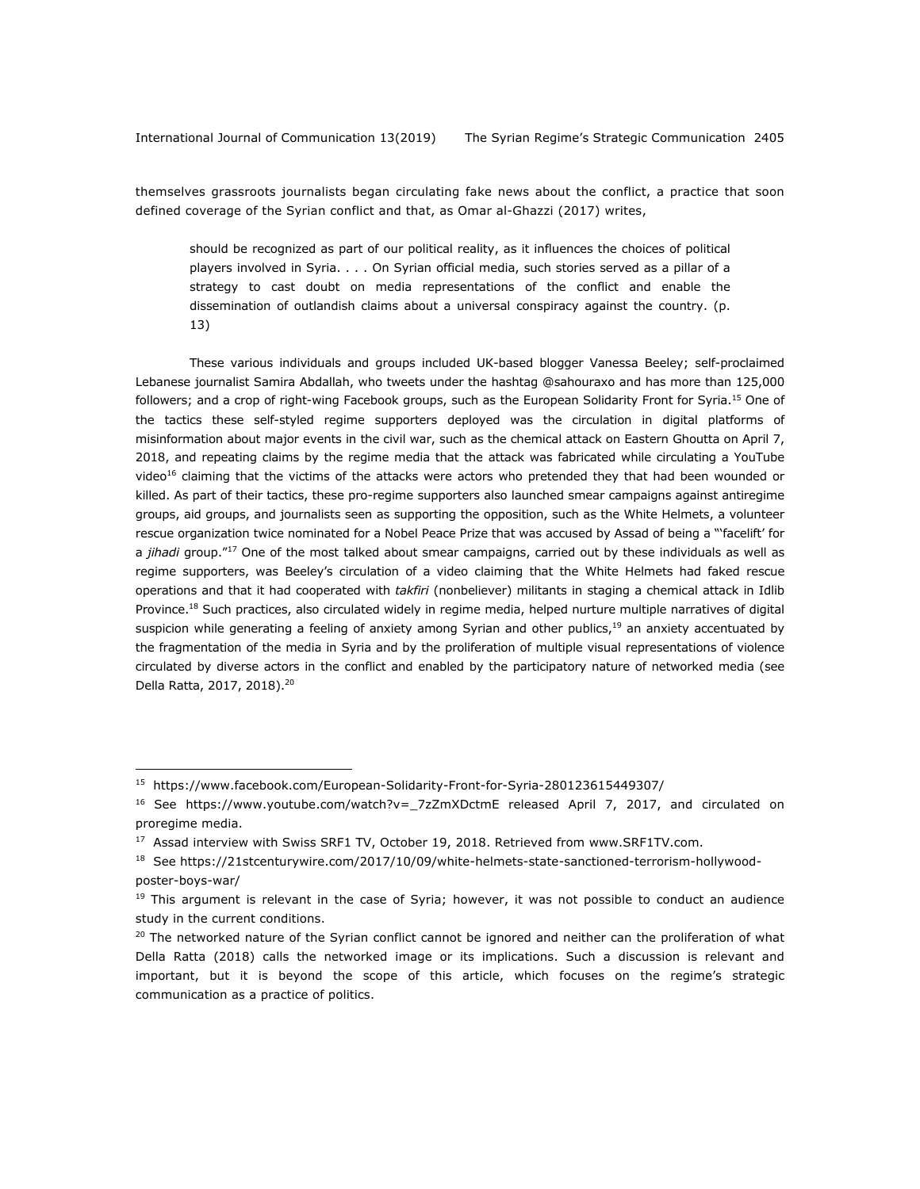themselves grassroots journalists began circulating fake news about the conflict, a practice that soon defined coverage of the Syrian conflict and that, as Omar al-Ghazzi (2017) writes,

should be recognized as part of our political reality, as it influences the choices of political players involved in Syria. . . . On Syrian official media, such stories served as a pillar of a strategy to cast doubt on media representations of the conflict and enable the dissemination of outlandish claims about a universal conspiracy against the country. (p. 13)

These various individuals and groups included UK-based blogger Vanessa Beeley; self-proclaimed Lebanese journalist Samira Abdallah, who tweets under the hashtag @sahouraxo and has more than 125,000 followers; and a crop of right-wing Facebook groups, such as the European Solidarity Front for Syria.<sup>15</sup> One of the tactics these self-styled regime supporters deployed was the circulation in digital platforms of misinformation about major events in the civil war, such as the chemical attack on Eastern Ghoutta on April 7, 2018, and repeating claims by the regime media that the attack was fabricated while circulating a YouTube video<sup>16</sup> claiming that the victims of the attacks were actors who pretended they that had been wounded or killed. As part of their tactics, these pro-regime supporters also launched smear campaigns against antiregime groups, aid groups, and journalists seen as supporting the opposition, such as the White Helmets, a volunteer rescue organization twice nominated for a Nobel Peace Prize that was accused by Assad of being a "'facelift' for a *jihadi* group."17 One of the most talked about smear campaigns, carried out by these individuals as well as regime supporters, was Beeley's circulation of a video claiming that the White Helmets had faked rescue operations and that it had cooperated with *takfiri* (nonbeliever) militants in staging a chemical attack in Idlib Province.<sup>18</sup> Such practices, also circulated widely in regime media, helped nurture multiple narratives of digital suspicion while generating a feeling of anxiety among Syrian and other publics, $19$  an anxiety accentuated by the fragmentation of the media in Syria and by the proliferation of multiple visual representations of violence circulated by diverse actors in the conflict and enabled by the participatory nature of networked media (see Della Ratta, 2017, 2018).<sup>20</sup>

<sup>15</sup> https://www.facebook.com/European-Solidarity-Front-for-Syria-280123615449307/

<sup>&</sup>lt;sup>16</sup> See https://www.youtube.com/watch?v=\_7zZmXDctmE released April 7, 2017, and circulated on proregime media.

<sup>&</sup>lt;sup>17</sup> Assad interview with Swiss SRF1 TV, October 19, 2018. Retrieved from www.SRF1TV.com.

<sup>&</sup>lt;sup>18</sup> See https://21stcenturywire.com/2017/10/09/white-helmets-state-sanctioned-terrorism-hollywoodposter-boys-war/

 $19$  This argument is relevant in the case of Syria; however, it was not possible to conduct an audience study in the current conditions.

<sup>&</sup>lt;sup>20</sup> The networked nature of the Syrian conflict cannot be ignored and neither can the proliferation of what Della Ratta (2018) calls the networked image or its implications. Such a discussion is relevant and important, but it is beyond the scope of this article, which focuses on the regime's strategic communication as a practice of politics.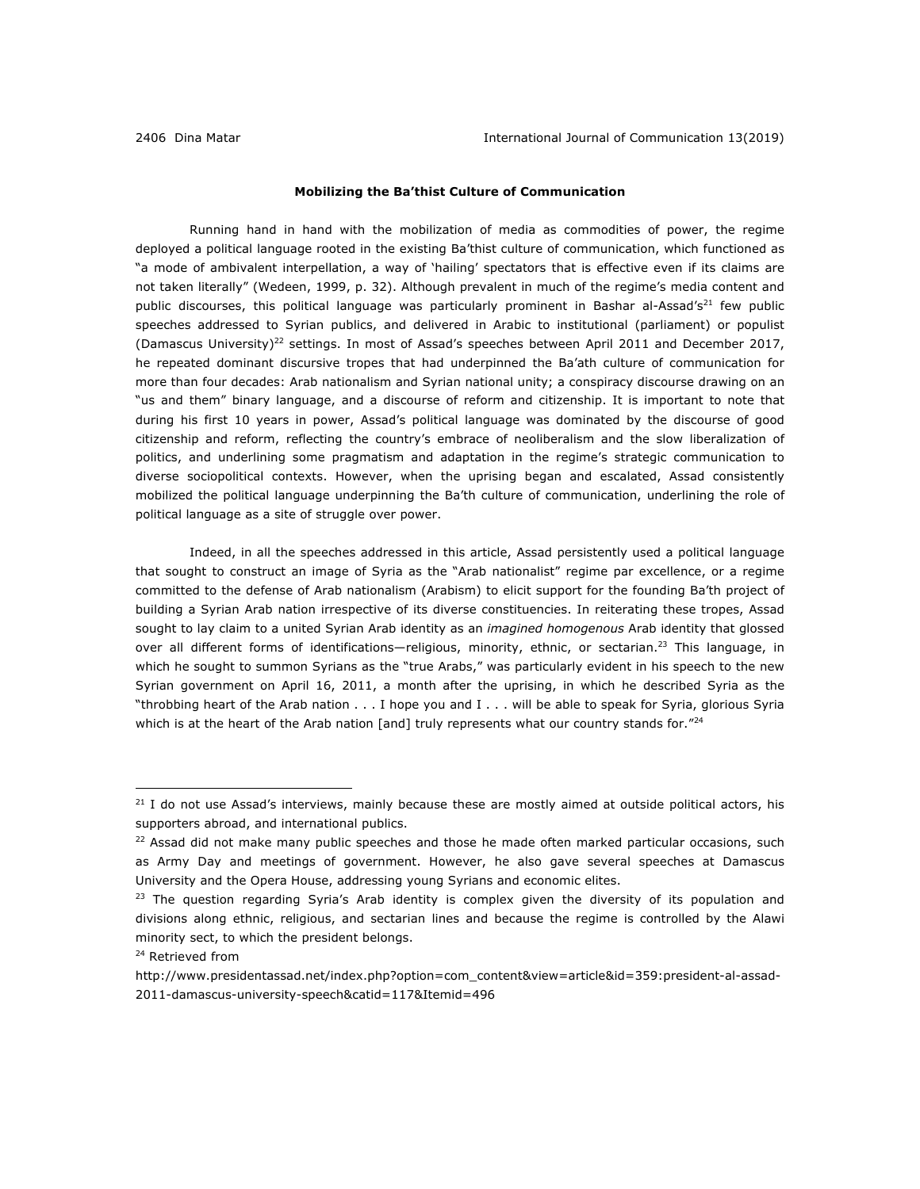### **Mobilizing the Ba'thist Culture of Communication**

Running hand in hand with the mobilization of media as commodities of power, the regime deployed a political language rooted in the existing Ba'thist culture of communication, which functioned as "a mode of ambivalent interpellation, a way of 'hailing' spectators that is effective even if its claims are not taken literally" (Wedeen, 1999, p. 32). Although prevalent in much of the regime's media content and public discourses, this political language was particularly prominent in Bashar al-Assad's<sup>21</sup> few public speeches addressed to Syrian publics, and delivered in Arabic to institutional (parliament) or populist (Damascus University)<sup>22</sup> settings. In most of Assad's speeches between April 2011 and December 2017, he repeated dominant discursive tropes that had underpinned the Ba'ath culture of communication for more than four decades: Arab nationalism and Syrian national unity; a conspiracy discourse drawing on an "us and them" binary language, and a discourse of reform and citizenship. It is important to note that during his first 10 years in power, Assad's political language was dominated by the discourse of good citizenship and reform, reflecting the country's embrace of neoliberalism and the slow liberalization of politics, and underlining some pragmatism and adaptation in the regime's strategic communication to diverse sociopolitical contexts. However, when the uprising began and escalated, Assad consistently mobilized the political language underpinning the Ba'th culture of communication, underlining the role of political language as a site of struggle over power.

Indeed, in all the speeches addressed in this article, Assad persistently used a political language that sought to construct an image of Syria as the "Arab nationalist" regime par excellence, or a regime committed to the defense of Arab nationalism (Arabism) to elicit support for the founding Ba'th project of building a Syrian Arab nation irrespective of its diverse constituencies. In reiterating these tropes, Assad sought to lay claim to a united Syrian Arab identity as an *imagined homogenous* Arab identity that glossed over all different forms of identifications—religious, minority, ethnic, or sectarian.<sup>23</sup> This language, in which he sought to summon Syrians as the "true Arabs," was particularly evident in his speech to the new Syrian government on April 16, 2011, a month after the uprising, in which he described Syria as the "throbbing heart of the Arab nation . . . I hope you and I . . . will be able to speak for Syria, glorious Syria which is at the heart of the Arab nation [and] truly represents what our country stands for." $^{24}$ 

 $21$  I do not use Assad's interviews, mainly because these are mostly aimed at outside political actors, his supporters abroad, and international publics.

 $22$  Assad did not make many public speeches and those he made often marked particular occasions, such as Army Day and meetings of government. However, he also gave several speeches at Damascus University and the Opera House, addressing young Syrians and economic elites.

 $23$  The question regarding Syria's Arab identity is complex given the diversity of its population and divisions along ethnic, religious, and sectarian lines and because the regime is controlled by the Alawi minority sect, to which the president belongs.

<sup>&</sup>lt;sup>24</sup> Retrieved from

http://www.presidentassad.net/index.php?option=com\_content&view=article&id=359:president-al-assad-2011-damascus-university-speech&catid=117&Itemid=496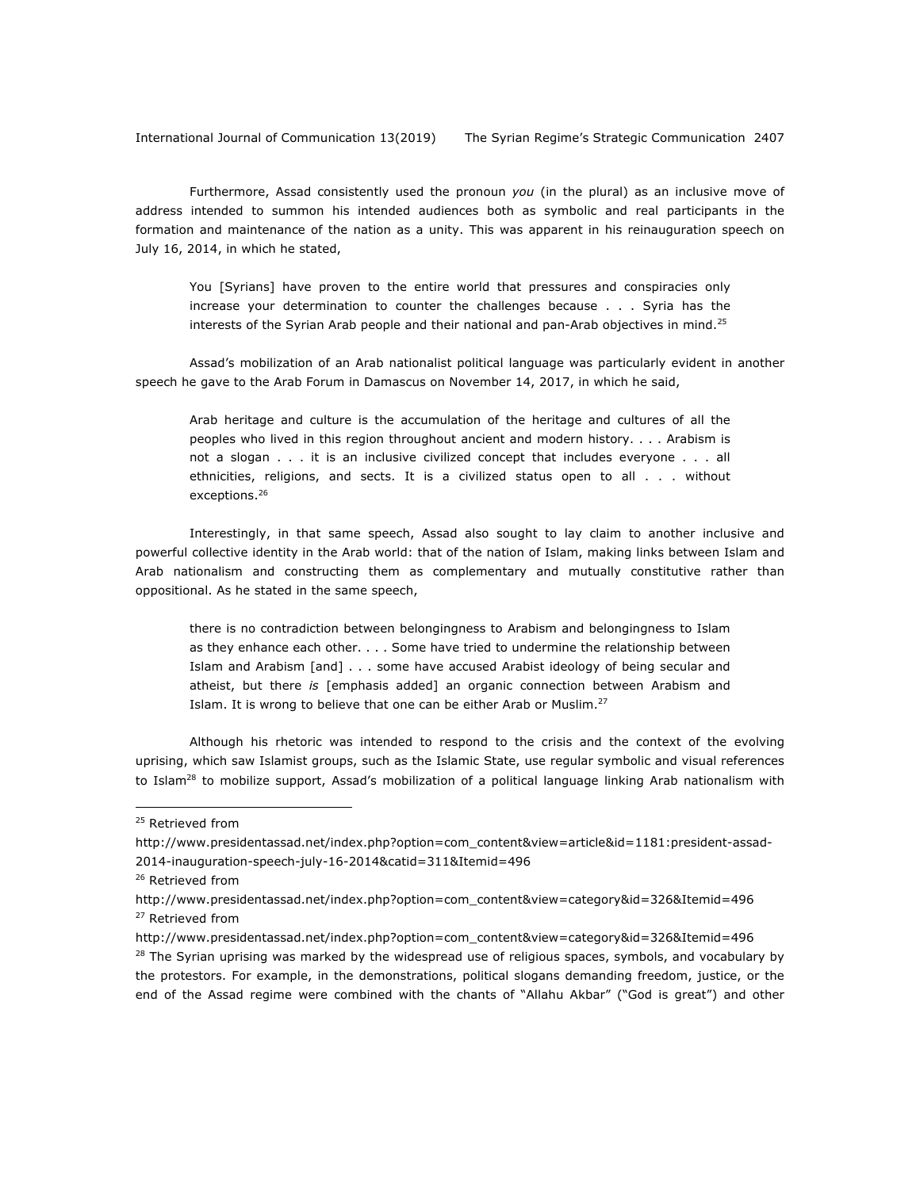Furthermore, Assad consistently used the pronoun *you* (in the plural) as an inclusive move of address intended to summon his intended audiences both as symbolic and real participants in the formation and maintenance of the nation as a unity. This was apparent in his reinauguration speech on July 16, 2014, in which he stated,

You [Syrians] have proven to the entire world that pressures and conspiracies only increase your determination to counter the challenges because . . . Syria has the interests of the Syrian Arab people and their national and pan-Arab objectives in mind.<sup>25</sup>

Assad's mobilization of an Arab nationalist political language was particularly evident in another speech he gave to the Arab Forum in Damascus on November 14, 2017, in which he said,

Arab heritage and culture is the accumulation of the heritage and cultures of all the peoples who lived in this region throughout ancient and modern history. . . . Arabism is not a slogan . . . it is an inclusive civilized concept that includes everyone . . . all ethnicities, religions, and sects. It is a civilized status open to all . . . without exceptions.<sup>26</sup>

Interestingly, in that same speech, Assad also sought to lay claim to another inclusive and powerful collective identity in the Arab world: that of the nation of Islam, making links between Islam and Arab nationalism and constructing them as complementary and mutually constitutive rather than oppositional. As he stated in the same speech,

there is no contradiction between belongingness to Arabism and belongingness to Islam as they enhance each other. . . . Some have tried to undermine the relationship between Islam and Arabism [and] . . . some have accused Arabist ideology of being secular and atheist, but there *is* [emphasis added] an organic connection between Arabism and Islam. It is wrong to believe that one can be either Arab or Muslim.<sup>27</sup>

Although his rhetoric was intended to respond to the crisis and the context of the evolving uprising, which saw Islamist groups, such as the Islamic State, use regular symbolic and visual references to Islam<sup>28</sup> to mobilize support, Assad's mobilization of a political language linking Arab nationalism with

<u>.</u>

 $28$  The Syrian uprising was marked by the widespread use of religious spaces, symbols, and vocabulary by the protestors. For example, in the demonstrations, political slogans demanding freedom, justice, or the end of the Assad regime were combined with the chants of "Allahu Akbar" ("God is great") and other

<sup>&</sup>lt;sup>25</sup> Retrieved from

http://www.presidentassad.net/index.php?option=com\_content&view=article&id=1181:president-assad-2014-inauguration-speech-july-16-2014&catid=311&Itemid=496

<sup>&</sup>lt;sup>26</sup> Retrieved from

http://www.presidentassad.net/index.php?option=com\_content&view=category&id=326&Itemid=496 <sup>27</sup> Retrieved from

http://www.presidentassad.net/index.php?option=com\_content&view=category&id=326&Itemid=496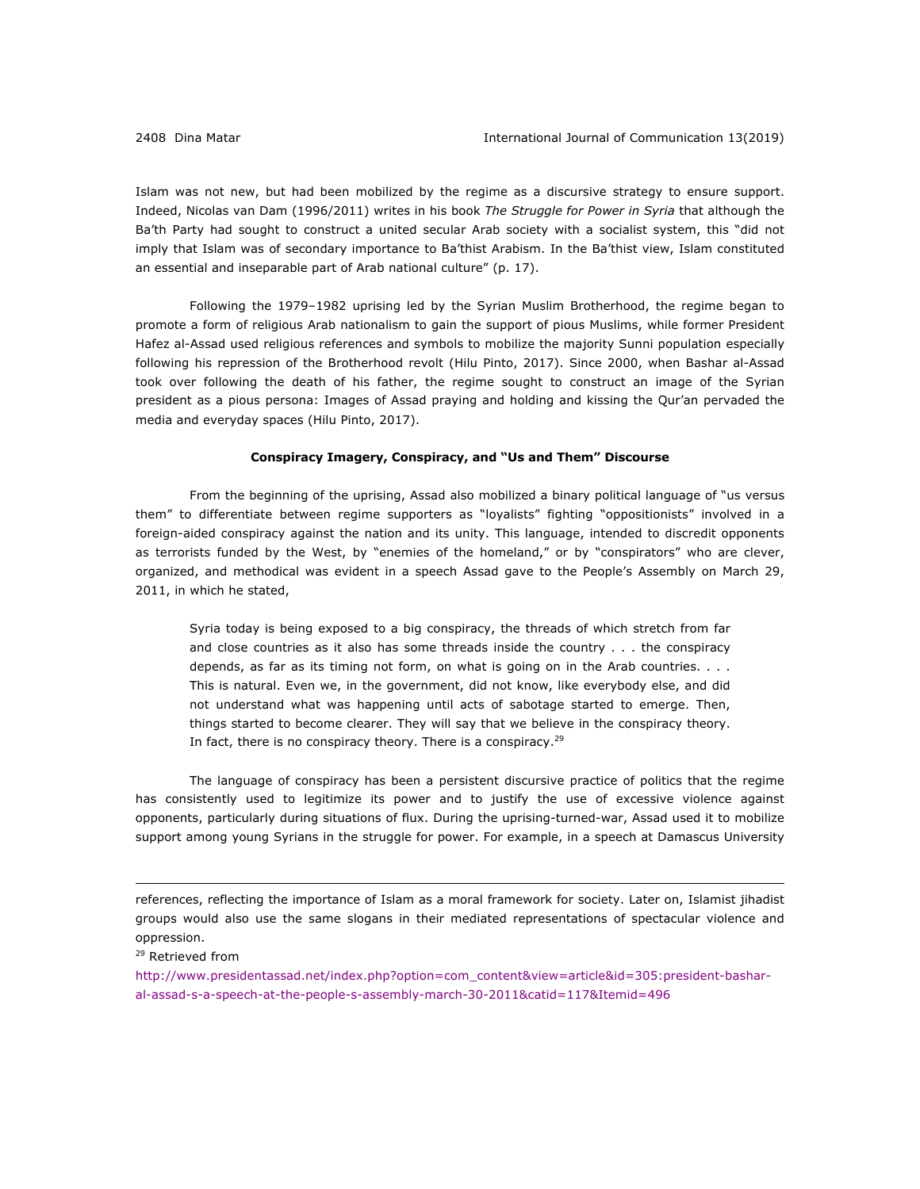Islam was not new, but had been mobilized by the regime as a discursive strategy to ensure support. Indeed, Nicolas van Dam (1996/2011) writes in his book *The Struggle for Power in Syria* that although the Ba'th Party had sought to construct a united secular Arab society with a socialist system, this "did not imply that Islam was of secondary importance to Ba'thist Arabism. In the Ba'thist view, Islam constituted an essential and inseparable part of Arab national culture" (p. 17).

Following the 1979–1982 uprising led by the Syrian Muslim Brotherhood, the regime began to promote a form of religious Arab nationalism to gain the support of pious Muslims, while former President Hafez al-Assad used religious references and symbols to mobilize the majority Sunni population especially following his repression of the Brotherhood revolt (Hilu Pinto, 2017). Since 2000, when Bashar al-Assad took over following the death of his father, the regime sought to construct an image of the Syrian president as a pious persona: Images of Assad praying and holding and kissing the Qur'an pervaded the media and everyday spaces (Hilu Pinto, 2017).

# **Conspiracy Imagery, Conspiracy, and "Us and Them" Discourse**

From the beginning of the uprising, Assad also mobilized a binary political language of "us versus them" to differentiate between regime supporters as "loyalists" fighting "oppositionists" involved in a foreign-aided conspiracy against the nation and its unity. This language, intended to discredit opponents as terrorists funded by the West, by "enemies of the homeland," or by "conspirators" who are clever, organized, and methodical was evident in a speech Assad gave to the People's Assembly on March 29, 2011, in which he stated,

Syria today is being exposed to a big conspiracy, the threads of which stretch from far and close countries as it also has some threads inside the country . . . the conspiracy depends, as far as its timing not form, on what is going on in the Arab countries. . . . This is natural. Even we, in the government, did not know, like everybody else, and did not understand what was happening until acts of sabotage started to emerge. Then, things started to become clearer. They will say that we believe in the conspiracy theory. In fact, there is no conspiracy theory. There is a conspiracy. $^{29}$ 

The language of conspiracy has been a persistent discursive practice of politics that the regime has consistently used to legitimize its power and to justify the use of excessive violence against opponents, particularly during situations of flux. During the uprising-turned-war, Assad used it to mobilize support among young Syrians in the struggle for power. For example, in a speech at Damascus University

references, reflecting the importance of Islam as a moral framework for society. Later on, Islamist jihadist groups would also use the same slogans in their mediated representations of spectacular violence and oppression.

<u>.</u>

http://www.presidentassad.net/index.php?option=com\_content&view=article&id=305:president-basharal-assad-s-a-speech-at-the-people-s-assembly-march-30-2011&catid=117&Itemid=496

<sup>29</sup> Retrieved from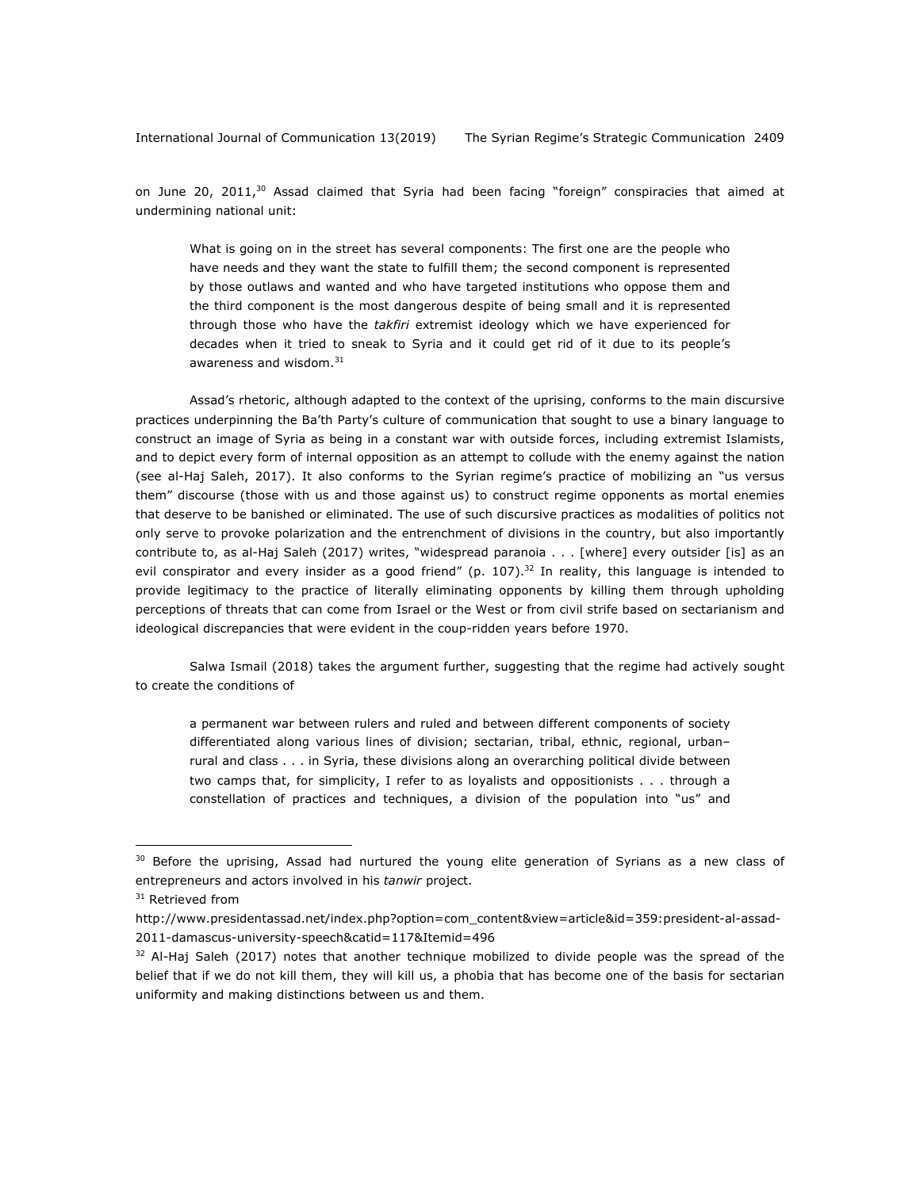on June 20, 2011, $30$  Assad claimed that Syria had been facing "foreign" conspiracies that aimed at undermining national unit:

What is going on in the street has several components: The first one are the people who have needs and they want the state to fulfill them; the second component is represented by those outlaws and wanted and who have targeted institutions who oppose them and the third component is the most dangerous despite of being small and it is represented through those who have the *takfiri* extremist ideology which we have experienced for decades when it tried to sneak to Syria and it could get rid of it due to its people's awareness and wisdom.<sup>31</sup>

Assad's rhetoric, although adapted to the context of the uprising, conforms to the main discursive practices underpinning the Ba'th Party's culture of communication that sought to use a binary language to construct an image of Syria as being in a constant war with outside forces, including extremist Islamists, and to depict every form of internal opposition as an attempt to collude with the enemy against the nation (see al-Haj Saleh, 2017). It also conforms to the Syrian regime's practice of mobilizing an "us versus them" discourse (those with us and those against us) to construct regime opponents as mortal enemies that deserve to be banished or eliminated. The use of such discursive practices as modalities of politics not only serve to provoke polarization and the entrenchment of divisions in the country, but also importantly contribute to, as al-Haj Saleh (2017) writes, "widespread paranoia . . . [where] every outsider [is] as an evil conspirator and every insider as a good friend" (p. 107).<sup>32</sup> In reality, this language is intended to provide legitimacy to the practice of literally eliminating opponents by killing them through upholding perceptions of threats that can come from Israel or the West or from civil strife based on sectarianism and ideological discrepancies that were evident in the coup-ridden years before 1970.

Salwa Ismail (2018) takes the argument further, suggesting that the regime had actively sought to create the conditions of

a permanent war between rulers and ruled and between different components of society differentiated along various lines of division; sectarian, tribal, ethnic, regional, urban– rural and class . . . in Syria, these divisions along an overarching political divide between two camps that, for simplicity, I refer to as loyalists and oppositionists . . . through a constellation of practices and techniques, a division of the population into "us" and

 $30$  Before the uprising, Assad had nurtured the young elite generation of Syrians as a new class of entrepreneurs and actors involved in his *tanwir* project.

<sup>&</sup>lt;sup>31</sup> Retrieved from

http://www.presidentassad.net/index.php?option=com\_content&view=article&id=359:president-al-assad-2011-damascus-university-speech&catid=117&Itemid=496

 $32$  Al-Haj Saleh (2017) notes that another technique mobilized to divide people was the spread of the belief that if we do not kill them, they will kill us, a phobia that has become one of the basis for sectarian uniformity and making distinctions between us and them.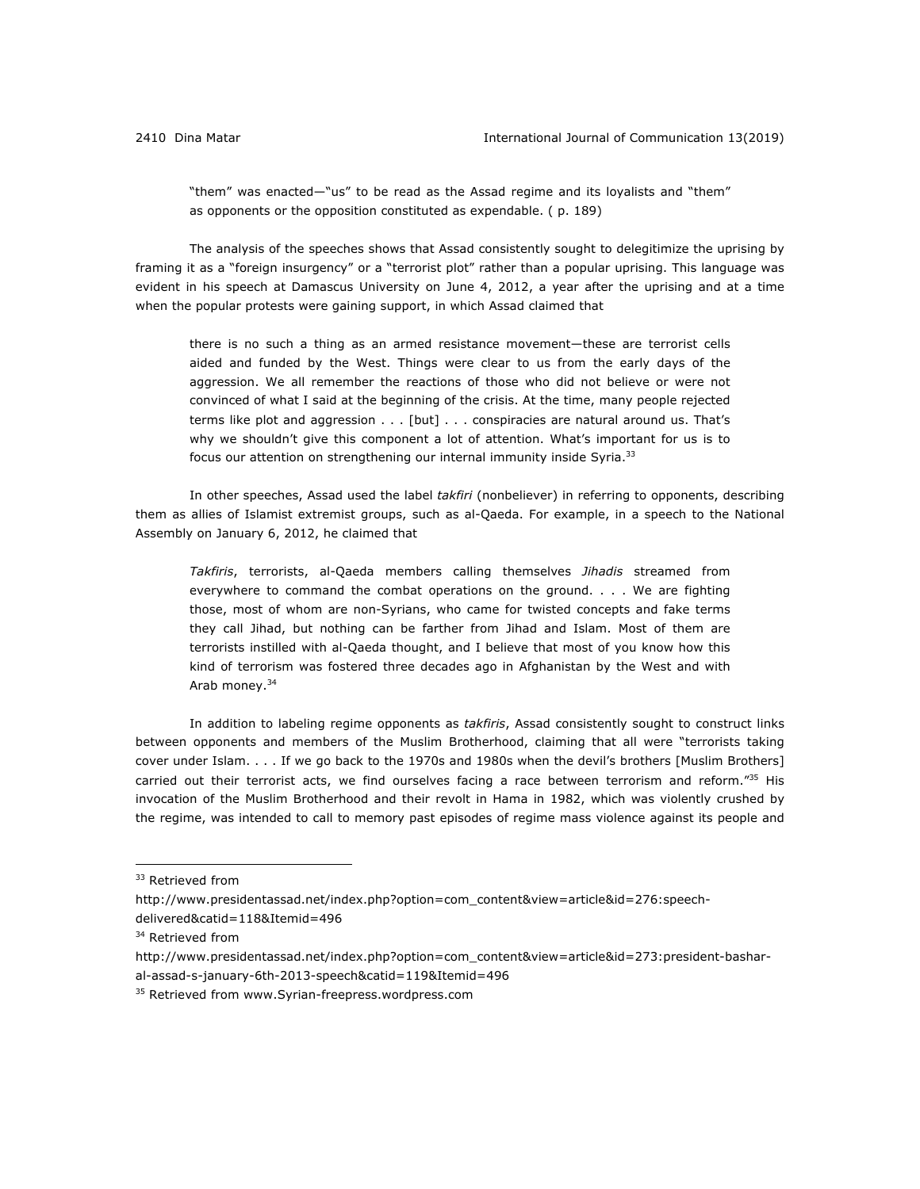"them" was enacted—"us" to be read as the Assad regime and its loyalists and "them" as opponents or the opposition constituted as expendable. ( p. 189)

The analysis of the speeches shows that Assad consistently sought to delegitimize the uprising by framing it as a "foreign insurgency" or a "terrorist plot" rather than a popular uprising. This language was evident in his speech at Damascus University on June 4, 2012, a year after the uprising and at a time when the popular protests were gaining support, in which Assad claimed that

there is no such a thing as an armed resistance movement—these are terrorist cells aided and funded by the West. Things were clear to us from the early days of the aggression. We all remember the reactions of those who did not believe or were not convinced of what I said at the beginning of the crisis. At the time, many people rejected terms like plot and aggression . . . [but] . . . conspiracies are natural around us. That's why we shouldn't give this component a lot of attention. What's important for us is to focus our attention on strengthening our internal immunity inside Syria.<sup>33</sup>

In other speeches, Assad used the label *takfiri* (nonbeliever) in referring to opponents, describing them as allies of Islamist extremist groups, such as al-Qaeda. For example, in a speech to the National Assembly on January 6, 2012, he claimed that

*Takfiris*, terrorists, al-Qaeda members calling themselves *Jihadis* streamed from everywhere to command the combat operations on the ground. . . . We are fighting those, most of whom are non-Syrians, who came for twisted concepts and fake terms they call Jihad, but nothing can be farther from Jihad and Islam. Most of them are terrorists instilled with al-Qaeda thought, and I believe that most of you know how this kind of terrorism was fostered three decades ago in Afghanistan by the West and with Arab money.34

In addition to labeling regime opponents as *takfiris*, Assad consistently sought to construct links between opponents and members of the Muslim Brotherhood, claiming that all were "terrorists taking cover under Islam. . . . If we go back to the 1970s and 1980s when the devil's brothers [Muslim Brothers] carried out their terrorist acts, we find ourselves facing a race between terrorism and reform."<sup>35</sup> His invocation of the Muslim Brotherhood and their revolt in Hama in 1982, which was violently crushed by the regime, was intended to call to memory past episodes of regime mass violence against its people and

<sup>&</sup>lt;sup>33</sup> Retrieved from

http://www.presidentassad.net/index.php?option=com\_content&view=article&id=276:speech-

delivered&catid=118&Itemid=496

<sup>&</sup>lt;sup>34</sup> Retrieved from

http://www.presidentassad.net/index.php?option=com\_content&view=article&id=273:president-bashar-

al-assad-s-january-6th-2013-speech&catid=119&Itemid=496

<sup>&</sup>lt;sup>35</sup> Retrieved from www.Syrian-freepress.wordpress.com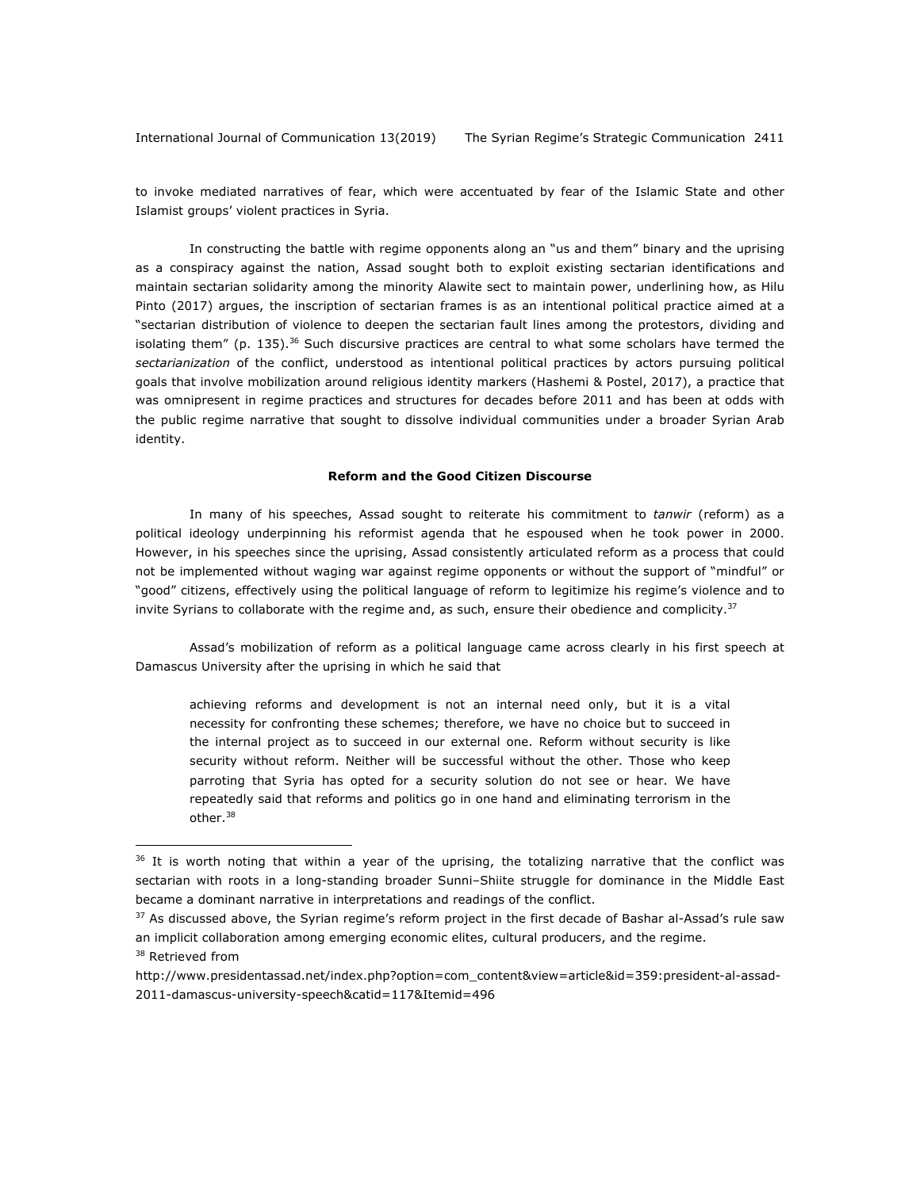to invoke mediated narratives of fear, which were accentuated by fear of the Islamic State and other Islamist groups' violent practices in Syria.

In constructing the battle with regime opponents along an "us and them" binary and the uprising as a conspiracy against the nation, Assad sought both to exploit existing sectarian identifications and maintain sectarian solidarity among the minority Alawite sect to maintain power, underlining how, as Hilu Pinto (2017) argues, the inscription of sectarian frames is as an intentional political practice aimed at a "sectarian distribution of violence to deepen the sectarian fault lines among the protestors, dividing and isolating them" (p. 135).<sup>36</sup> Such discursive practices are central to what some scholars have termed the *sectarianization* of the conflict, understood as intentional political practices by actors pursuing political goals that involve mobilization around religious identity markers (Hashemi & Postel, 2017), a practice that was omnipresent in regime practices and structures for decades before 2011 and has been at odds with the public regime narrative that sought to dissolve individual communities under a broader Syrian Arab identity.

#### **Reform and the Good Citizen Discourse**

In many of his speeches, Assad sought to reiterate his commitment to *tanwir* (reform) as a political ideology underpinning his reformist agenda that he espoused when he took power in 2000. However, in his speeches since the uprising, Assad consistently articulated reform as a process that could not be implemented without waging war against regime opponents or without the support of "mindful" or "good" citizens, effectively using the political language of reform to legitimize his regime's violence and to invite Syrians to collaborate with the regime and, as such, ensure their obedience and complicity. $37$ 

Assad's mobilization of reform as a political language came across clearly in his first speech at Damascus University after the uprising in which he said that

achieving reforms and development is not an internal need only, but it is a vital necessity for confronting these schemes; therefore, we have no choice but to succeed in the internal project as to succeed in our external one. Reform without security is like security without reform. Neither will be successful without the other. Those who keep parroting that Syria has opted for a security solution do not see or hear. We have repeatedly said that reforms and politics go in one hand and eliminating terrorism in the other.38

<sup>38</sup> Retrieved from

 $36$  It is worth noting that within a year of the uprising, the totalizing narrative that the conflict was sectarian with roots in a long-standing broader Sunni–Shiite struggle for dominance in the Middle East became a dominant narrative in interpretations and readings of the conflict.

<sup>&</sup>lt;sup>37</sup> As discussed above, the Syrian regime's reform project in the first decade of Bashar al-Assad's rule saw an implicit collaboration among emerging economic elites, cultural producers, and the regime.

http://www.presidentassad.net/index.php?option=com\_content&view=article&id=359:president-al-assad-2011-damascus-university-speech&catid=117&Itemid=496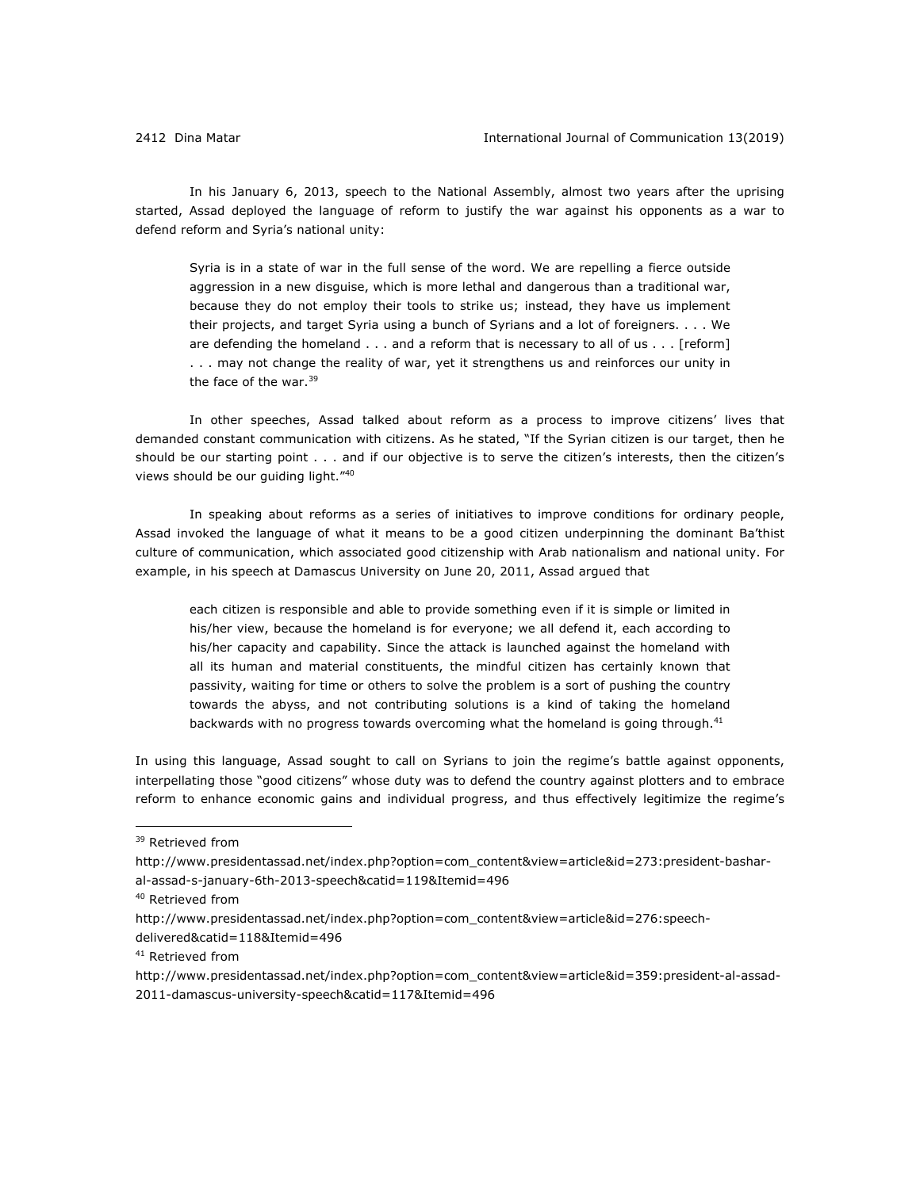In his January 6, 2013, speech to the National Assembly, almost two years after the uprising started, Assad deployed the language of reform to justify the war against his opponents as a war to defend reform and Syria's national unity:

Syria is in a state of war in the full sense of the word. We are repelling a fierce outside aggression in a new disguise, which is more lethal and dangerous than a traditional war, because they do not employ their tools to strike us; instead, they have us implement their projects, and target Syria using a bunch of Syrians and a lot of foreigners. . . . We are defending the homeland . . . and a reform that is necessary to all of us . . . [reform] . . . may not change the reality of war, yet it strengthens us and reinforces our unity in the face of the war.<sup>39</sup>

In other speeches, Assad talked about reform as a process to improve citizens' lives that demanded constant communication with citizens. As he stated, "If the Syrian citizen is our target, then he should be our starting point . . . and if our objective is to serve the citizen's interests, then the citizen's views should be our guiding light."40

In speaking about reforms as a series of initiatives to improve conditions for ordinary people, Assad invoked the language of what it means to be a good citizen underpinning the dominant Ba'thist culture of communication, which associated good citizenship with Arab nationalism and national unity. For example, in his speech at Damascus University on June 20, 2011, Assad argued that

each citizen is responsible and able to provide something even if it is simple or limited in his/her view, because the homeland is for everyone; we all defend it, each according to his/her capacity and capability. Since the attack is launched against the homeland with all its human and material constituents, the mindful citizen has certainly known that passivity, waiting for time or others to solve the problem is a sort of pushing the country towards the abyss, and not contributing solutions is a kind of taking the homeland backwards with no progress towards overcoming what the homeland is going through.<sup>41</sup>

In using this language, Assad sought to call on Syrians to join the regime's battle against opponents, interpellating those "good citizens" whose duty was to defend the country against plotters and to embrace reform to enhance economic gains and individual progress, and thus effectively legitimize the regime's

<sup>&</sup>lt;sup>39</sup> Retrieved from

http://www.presidentassad.net/index.php?option=com\_content&view=article&id=273:president-basharal-assad-s-january-6th-2013-speech&catid=119&Itemid=496

<sup>40</sup> Retrieved from

http://www.presidentassad.net/index.php?option=com\_content&view=article&id=276:speech-

delivered&catid=118&Itemid=496

<sup>&</sup>lt;sup>41</sup> Retrieved from

http://www.presidentassad.net/index.php?option=com\_content&view=article&id=359:president-al-assad-2011-damascus-university-speech&catid=117&Itemid=496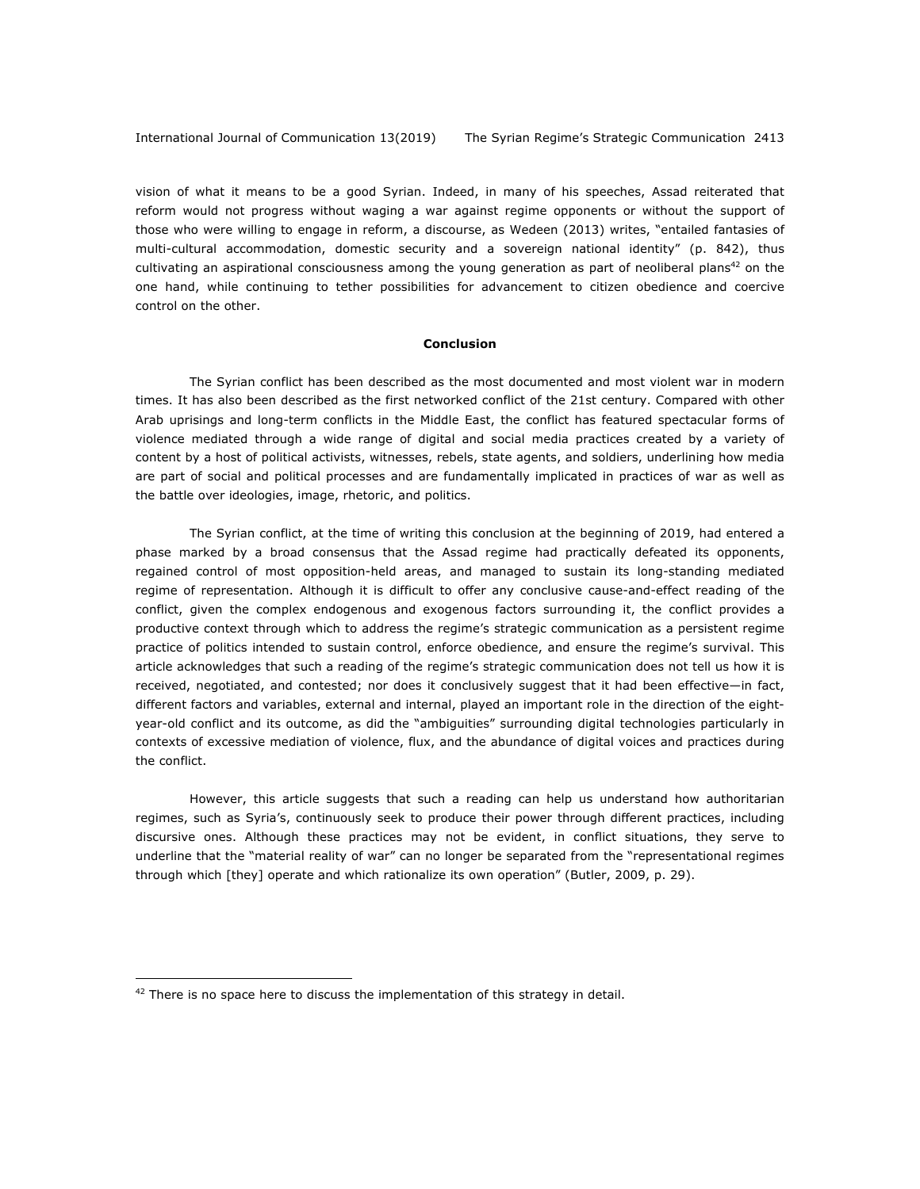vision of what it means to be a good Syrian. Indeed, in many of his speeches, Assad reiterated that reform would not progress without waging a war against regime opponents or without the support of those who were willing to engage in reform, a discourse, as Wedeen (2013) writes, "entailed fantasies of multi-cultural accommodation, domestic security and a sovereign national identity" (p. 842), thus cultivating an aspirational consciousness among the young generation as part of neoliberal plans<sup>42</sup> on the one hand, while continuing to tether possibilities for advancement to citizen obedience and coercive control on the other.

#### **Conclusion**

The Syrian conflict has been described as the most documented and most violent war in modern times. It has also been described as the first networked conflict of the 21st century. Compared with other Arab uprisings and long-term conflicts in the Middle East, the conflict has featured spectacular forms of violence mediated through a wide range of digital and social media practices created by a variety of content by a host of political activists, witnesses, rebels, state agents, and soldiers, underlining how media are part of social and political processes and are fundamentally implicated in practices of war as well as the battle over ideologies, image, rhetoric, and politics.

The Syrian conflict, at the time of writing this conclusion at the beginning of 2019, had entered a phase marked by a broad consensus that the Assad regime had practically defeated its opponents, regained control of most opposition-held areas, and managed to sustain its long-standing mediated regime of representation. Although it is difficult to offer any conclusive cause-and-effect reading of the conflict, given the complex endogenous and exogenous factors surrounding it, the conflict provides a productive context through which to address the regime's strategic communication as a persistent regime practice of politics intended to sustain control, enforce obedience, and ensure the regime's survival. This article acknowledges that such a reading of the regime's strategic communication does not tell us how it is received, negotiated, and contested; nor does it conclusively suggest that it had been effective—in fact, different factors and variables, external and internal, played an important role in the direction of the eightyear-old conflict and its outcome, as did the "ambiguities" surrounding digital technologies particularly in contexts of excessive mediation of violence, flux, and the abundance of digital voices and practices during the conflict.

However, this article suggests that such a reading can help us understand how authoritarian regimes, such as Syria's, continuously seek to produce their power through different practices, including discursive ones. Although these practices may not be evident, in conflict situations, they serve to underline that the "material reality of war" can no longer be separated from the "representational regimes through which [they] operate and which rationalize its own operation" (Butler, 2009, p. 29).

 $42$  There is no space here to discuss the implementation of this strategy in detail.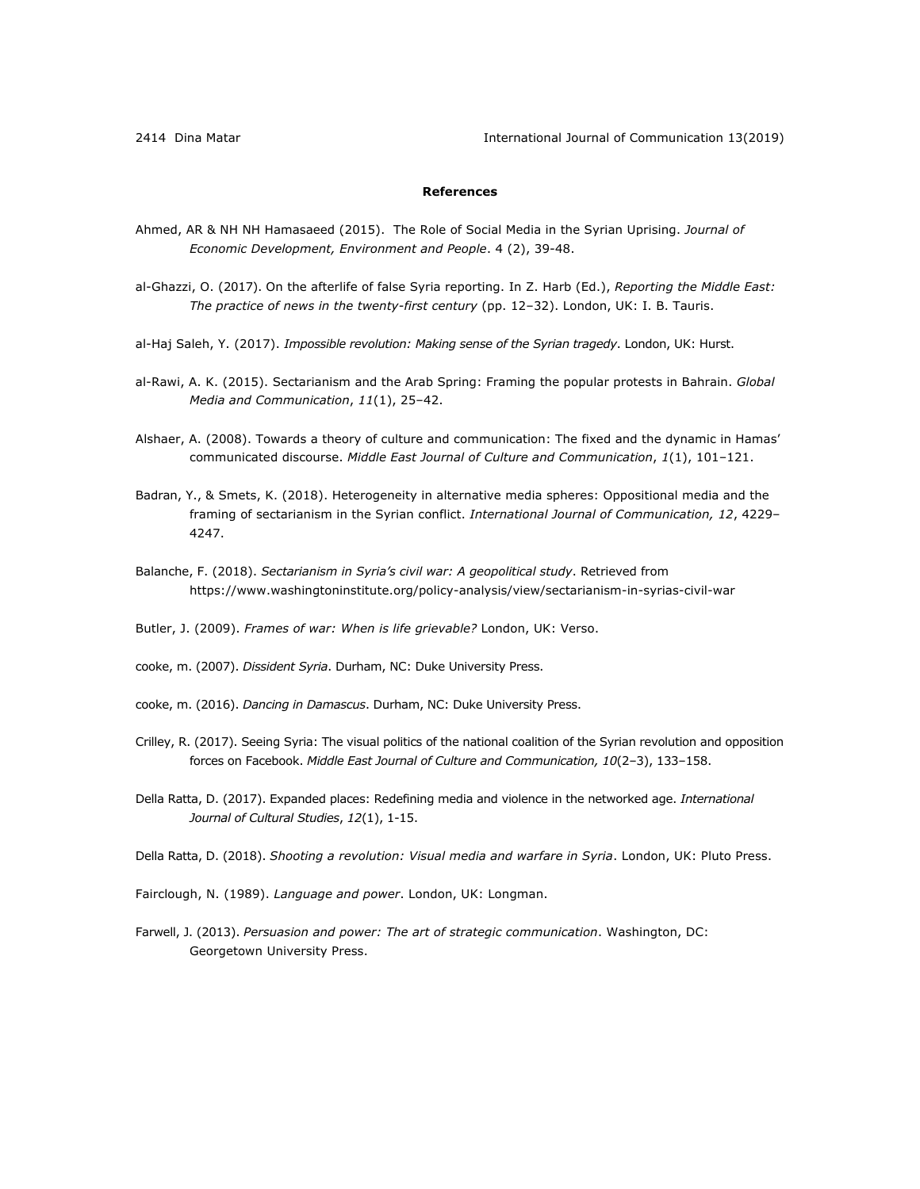# **References**

- Ahmed, AR & NH NH Hamasaeed (2015). The Role of Social Media in the Syrian Uprising. *Journal of Economic Development, Environment and People*. 4 (2), 39-48.
- al-Ghazzi, O. (2017). On the afterlife of false Syria reporting. In Z. Harb (Ed.), *Reporting the Middle East: The practice of news in the twenty-first century* (pp. 12‒32). London, UK: I. B. Tauris.
- al-Haj Saleh, Y. (2017). *Impossible revolution: Making sense of the Syrian tragedy*. London, UK: Hurst.
- al-Rawi, A. K. (2015). Sectarianism and the Arab Spring: Framing the popular protests in Bahrain. *Global Media and Communication*, *11*(1), 25–42.
- Alshaer, A. (2008). Towards a theory of culture and communication: The fixed and the dynamic in Hamas' communicated discourse. *Middle East Journal of Culture and Communication*, *1*(1), 101–121.
- Badran, Y., & Smets, K. (2018). Heterogeneity in alternative media spheres: Oppositional media and the framing of sectarianism in the Syrian conflict. *International Journal of Communication, 12*, 4229– 4247.
- Balanche, F. (2018). *Sectarianism in Syria's civil war: A geopolitical study*. Retrieved from https://www.washingtoninstitute.org/policy-analysis/view/sectarianism-in-syrias-civil-war

Butler, J. (2009). *Frames of war: When is life grievable?* London, UK: Verso.

- cooke, m. (2007). *Dissident Syria*. Durham, NC: Duke University Press.
- cooke, m. (2016). *Dancing in Damascus*. Durham, NC: Duke University Press.
- Crilley, R. (2017). Seeing Syria: The visual politics of the national coalition of the Syrian revolution and opposition forces on Facebook. *Middle East Journal of Culture and Communication, 10*(2–3), 133–158.
- Della Ratta, D. (2017). Expanded places: Redefining media and violence in the networked age. *International Journal of Cultural Studies*, *12*(1), 1-15.
- Della Ratta, D. (2018). *Shooting a revolution: Visual media and warfare in Syria*. London, UK: Pluto Press.
- Fairclough, N. (1989). *Language and power*. London, UK: Longman.
- Farwell, J. (2013). *Persuasion and power: The art of strategic communication*. Washington, DC: Georgetown University Press.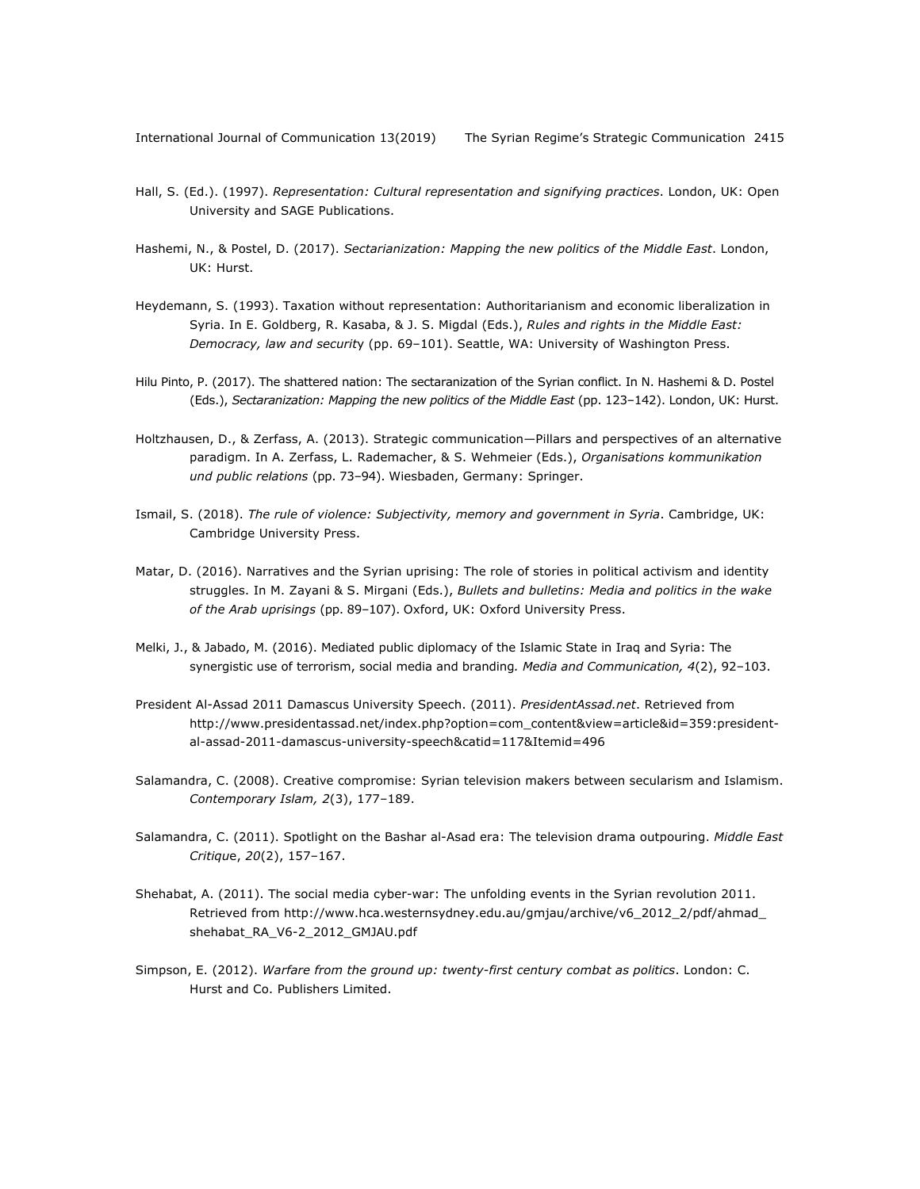- Hall, S. (Ed.). (1997). *Representation: Cultural representation and signifying practices*. London, UK: Open University and SAGE Publications.
- Hashemi, N., & Postel, D. (2017). *Sectarianization: Mapping the new politics of the Middle East*. London, UK: Hurst.
- Heydemann, S. (1993). Taxation without representation: Authoritarianism and economic liberalization in Syria. In E. Goldberg, R. Kasaba, & J. S. Migdal (Eds.), *Rules and rights in the Middle East: Democracy, law and securit*y (pp. 69‒101). Seattle, WA: University of Washington Press.
- Hilu Pinto, P. (2017). The shattered nation: The sectaranization of the Syrian conflict. In N. Hashemi & D. Postel (Eds.), *Sectaranization: Mapping the new politics of the Middle East* (pp. 123-142). London, UK: Hurst.
- Holtzhausen, D., & Zerfass, A. (2013). Strategic communication—Pillars and perspectives of an alternative paradigm. In A. Zerfass, L. Rademacher, & S. Wehmeier (Eds.), *Organisations kommunikation und public relations* (pp. 73‒94). Wiesbaden, Germany: Springer.
- Ismail, S. (2018). *The rule of violence: Subjectivity, memory and government in Syria*. Cambridge, UK: Cambridge University Press.
- Matar, D. (2016). Narratives and the Syrian uprising: The role of stories in political activism and identity struggles. In M. Zayani & S. Mirgani (Eds.), *Bullets and bulletins: Media and politics in the wake*  of the Arab uprisings (pp. 89-107). Oxford, UK: Oxford University Press.
- Melki, J., & Jabado, M. (2016). Mediated public diplomacy of the Islamic State in Iraq and Syria: The synergistic use of terrorism, social media and branding*. Media and Communication, 4*(2), 92–103.
- President Al-Assad 2011 Damascus University Speech. (2011). *PresidentAssad.net*. Retrieved from http://www.presidentassad.net/index.php?option=com\_content&view=article&id=359:presidental-assad-2011-damascus-university-speech&catid=117&Itemid=496
- Salamandra, C. (2008). Creative compromise: Syrian television makers between secularism and Islamism. *Contemporary Islam, 2*(3), 177–189.
- Salamandra, C. (2011). Spotlight on the Bashar al-Asad era: The television drama outpouring. *Middle East Critiqu*e, *20*(2), 157–167.
- Shehabat, A. (2011). The social media cyber-war: The unfolding events in the Syrian revolution 2011. Retrieved from http://www.hca.westernsydney.edu.au/gmjau/archive/v6\_2012\_2/pdf/ahmad\_ shehabat\_RA\_V6-2\_2012\_GMJAU.pdf
- Simpson, E. (2012). *Warfare from the ground up: twenty-first century combat as politics*. London: C. Hurst and Co. Publishers Limited.